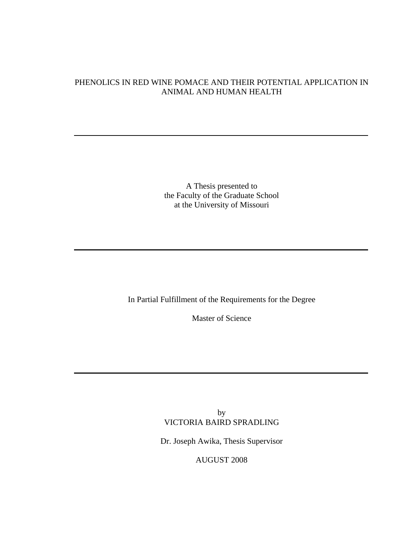# PHENOLICS IN RED WINE POMACE AND THEIR POTENTIAL APPLICATION IN ANIMAL AND HUMAN HEALTH

A Thesis presented to the Faculty of the Graduate School at the University of Missouri

In Partial Fulfillment of the Requirements for the Degree

Master of Science

by VICTORIA BAIRD SPRADLING

Dr. Joseph Awika, Thesis Supervisor

AUGUST 2008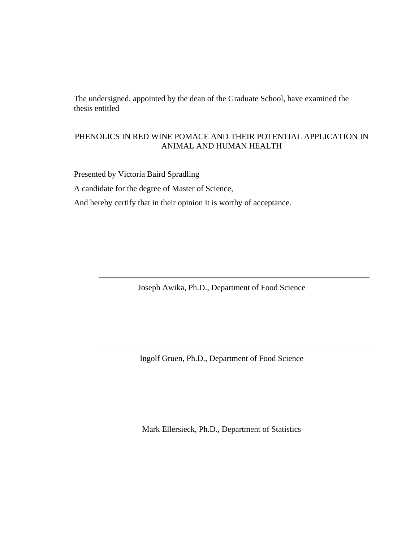The undersigned, appointed by the dean of the Graduate School, have examined the thesis entitled

# PHENOLICS IN RED WINE POMACE AND THEIR POTENTIAL APPLICATION IN ANIMAL AND HUMAN HEALTH

Presented by Victoria Baird Spradling A candidate for the degree of Master of Science, And hereby certify that in their opinion it is worthy of acceptance.

Joseph Awika, Ph.D., Department of Food Science

Ingolf Gruen, Ph.D., Department of Food Science

Mark Ellersieck, Ph.D., Department of Statistics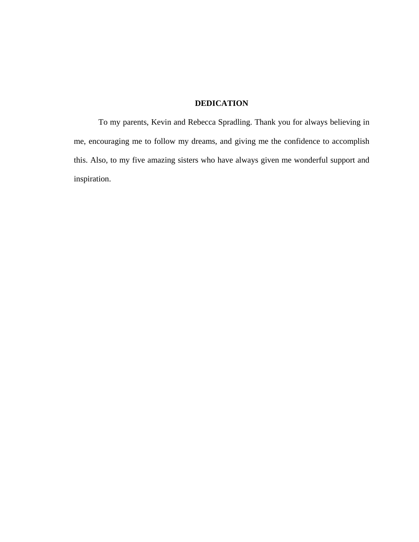# **DEDICATION**

 To my parents, Kevin and Rebecca Spradling. Thank you for always believing in me, encouraging me to follow my dreams, and giving me the confidence to accomplish this. Also, to my five amazing sisters who have always given me wonderful support and inspiration.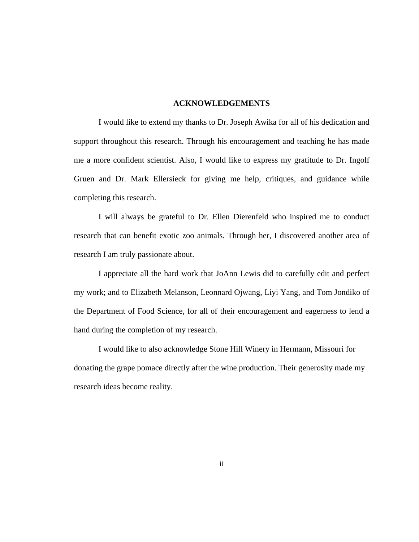### **ACKNOWLEDGEMENTS**

 I would like to extend my thanks to Dr. Joseph Awika for all of his dedication and support throughout this research. Through his encouragement and teaching he has made me a more confident scientist. Also, I would like to express my gratitude to Dr. Ingolf Gruen and Dr. Mark Ellersieck for giving me help, critiques, and guidance while completing this research.

 I will always be grateful to Dr. Ellen Dierenfeld who inspired me to conduct research that can benefit exotic zoo animals. Through her, I discovered another area of research I am truly passionate about.

 I appreciate all the hard work that JoAnn Lewis did to carefully edit and perfect my work; and to Elizabeth Melanson, Leonnard Ojwang, Liyi Yang, and Tom Jondiko of the Department of Food Science, for all of their encouragement and eagerness to lend a hand during the completion of my research.

 I would like to also acknowledge Stone Hill Winery in Hermann, Missouri for donating the grape pomace directly after the wine production. Their generosity made my research ideas become reality.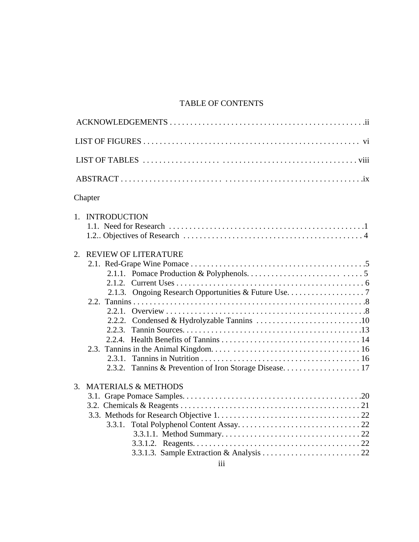# TABLE OF CONTENTS

| Chapter                                        |
|------------------------------------------------|
| 1. INTRODUCTION                                |
| <b>REVIEW OF LITERATURE</b><br>2.<br>2.1.3.    |
| <b>MATERIALS &amp; METHODS</b><br>3.<br>3.3.1. |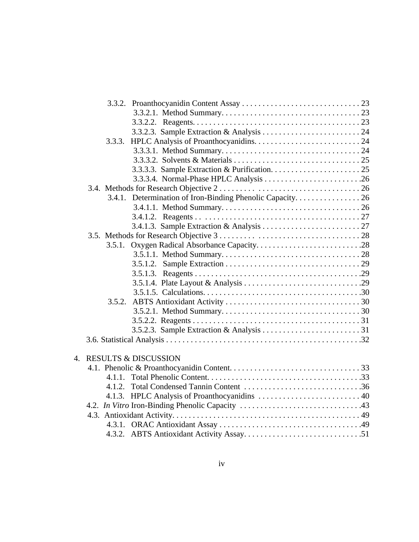|                  | 3.5.1. | Oxygen Radical Absorbance Capacity28 |  |
|------------------|--------|--------------------------------------|--|
|                  |        |                                      |  |
|                  |        |                                      |  |
|                  |        |                                      |  |
|                  |        |                                      |  |
|                  |        |                                      |  |
|                  |        |                                      |  |
|                  |        |                                      |  |
|                  |        |                                      |  |
|                  |        |                                      |  |
|                  |        |                                      |  |
| $\overline{4}$ . |        | <b>RESULTS &amp; DISCUSSION</b>      |  |
|                  |        |                                      |  |
|                  | 4.1.1. |                                      |  |
|                  | 4.1.2. |                                      |  |
|                  |        |                                      |  |
|                  |        |                                      |  |
|                  |        |                                      |  |
|                  |        |                                      |  |
|                  |        |                                      |  |
|                  |        |                                      |  |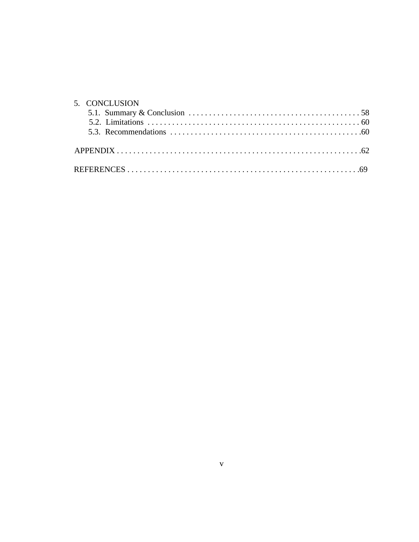| 5. CONCLUSION                                                                                                          |  |
|------------------------------------------------------------------------------------------------------------------------|--|
| 5.1. Summary & Conclusion $\ldots \ldots \ldots \ldots \ldots \ldots \ldots \ldots \ldots \ldots \ldots \ldots \ldots$ |  |
|                                                                                                                        |  |
|                                                                                                                        |  |
|                                                                                                                        |  |
|                                                                                                                        |  |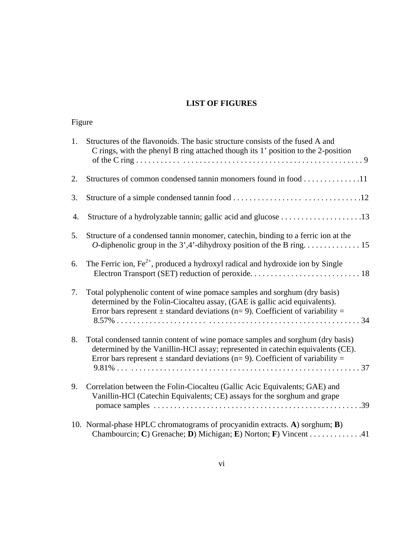# **LIST OF FIGURES**

|    | Figure                                                                                                                                                                                                                                                  |  |  |
|----|---------------------------------------------------------------------------------------------------------------------------------------------------------------------------------------------------------------------------------------------------------|--|--|
| 1. | Structures of the flavonoids. The basic structure consists of the fused A and<br>C rings, with the phenyl B ring attached though its 1' position to the 2-position                                                                                      |  |  |
| 2. | Structures of common condensed tannin monomers found in food 11                                                                                                                                                                                         |  |  |
| 3. |                                                                                                                                                                                                                                                         |  |  |
| 4. |                                                                                                                                                                                                                                                         |  |  |
| 5. | Structure of a condensed tannin monomer, catechin, binding to a ferric ion at the                                                                                                                                                                       |  |  |
| 6. | The Ferric ion, $Fe^{2+}$ , produced a hydroxyl radical and hydroxide ion by Single                                                                                                                                                                     |  |  |
| 7. | Total polyphenolic content of wine pomace samples and sorghum (dry basis)<br>determined by the Folin-Ciocalteu assay, (GAE is gallic acid equivalents).<br>Error bars represent $\pm$ standard deviations (n= 9). Coefficient of variability =          |  |  |
| 8. | Total condensed tannin content of wine pomace samples and sorghum (dry basis)<br>determined by the Vanillin-HCl assay; represented in catechin equivalents (CE).<br>Error bars represent $\pm$ standard deviations (n= 9). Coefficient of variability = |  |  |
| 9. | Correlation between the Folin-Ciocalteu (Gallic Acic Equivalents; GAE) and<br>Vanillin-HCl (Catechin Equivalents; CE) assays for the sorghum and grape                                                                                                  |  |  |
|    | 10. Normal-phase HPLC chromatograms of procyanidin extracts. A) sorghum; B)<br>Chambourcin; C) Grenache; D) Michigan; E) Norton; F) Vincent 41                                                                                                          |  |  |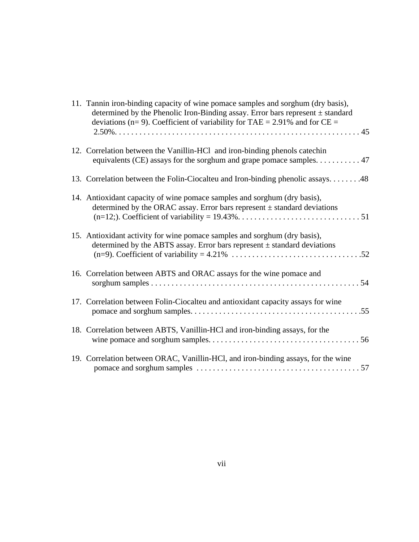| 11. Tannin iron-binding capacity of wine pomace samples and sorghum (dry basis),<br>determined by the Phenolic Iron-Binding assay. Error bars represent $\pm$ standard<br>deviations (n= 9). Coefficient of variability for TAE = 2.91% and for $CE =$ |
|--------------------------------------------------------------------------------------------------------------------------------------------------------------------------------------------------------------------------------------------------------|
| 12. Correlation between the Vanillin-HCl and iron-binding phenols catechin<br>equivalents (CE) assays for the sorghum and grape pomace samples. 47                                                                                                     |
| 13. Correlation between the Folin-Ciocalteu and Iron-binding phenolic assays. 48                                                                                                                                                                       |
| 14. Antioxidant capacity of wine pomace samples and sorghum (dry basis),<br>determined by the ORAC assay. Error bars represent $\pm$ standard deviations                                                                                               |
| 15. Antioxidant activity for wine pomace samples and sorghum (dry basis),<br>determined by the ABTS assay. Error bars represent $\pm$ standard deviations                                                                                              |
| 16. Correlation between ABTS and ORAC assays for the wine pomace and                                                                                                                                                                                   |
| 17. Correlation between Folin-Ciocalteu and antioxidant capacity assays for wine                                                                                                                                                                       |
| 18. Correlation between ABTS, Vanillin-HCl and iron-binding assays, for the                                                                                                                                                                            |
| 19. Correlation between ORAC, Vanillin-HCl, and iron-binding assays, for the wine                                                                                                                                                                      |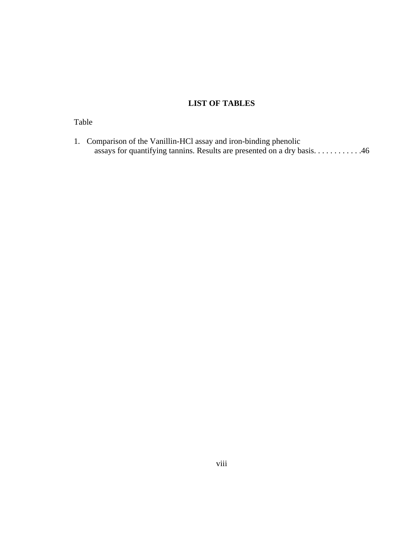# **LIST OF TABLES**

# Table

1. Comparison of the Vanillin-HCl assay and iron-binding phenolic assays for quantifying tannins. Results are presented on a dry basis. . . . . . . . . . . . . 46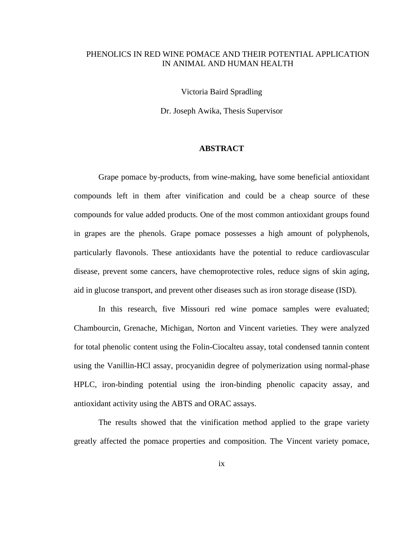# PHENOLICS IN RED WINE POMACE AND THEIR POTENTIAL APPLICATION IN ANIMAL AND HUMAN HEALTH

Victoria Baird Spradling

Dr. Joseph Awika, Thesis Supervisor

### **ABSTRACT**

 Grape pomace by-products, from wine-making, have some beneficial antioxidant compounds left in them after vinification and could be a cheap source of these compounds for value added products. One of the most common antioxidant groups found in grapes are the phenols. Grape pomace possesses a high amount of polyphenols, particularly flavonols. These antioxidants have the potential to reduce cardiovascular disease, prevent some cancers, have chemoprotective roles, reduce signs of skin aging, aid in glucose transport, and prevent other diseases such as iron storage disease (ISD).

 In this research, five Missouri red wine pomace samples were evaluated; Chambourcin, Grenache, Michigan, Norton and Vincent varieties. They were analyzed for total phenolic content using the Folin-Ciocalteu assay, total condensed tannin content using the Vanillin-HCl assay, procyanidin degree of polymerization using normal-phase HPLC, iron-binding potential using the iron-binding phenolic capacity assay, and antioxidant activity using the ABTS and ORAC assays.

 The results showed that the vinification method applied to the grape variety greatly affected the pomace properties and composition. The Vincent variety pomace,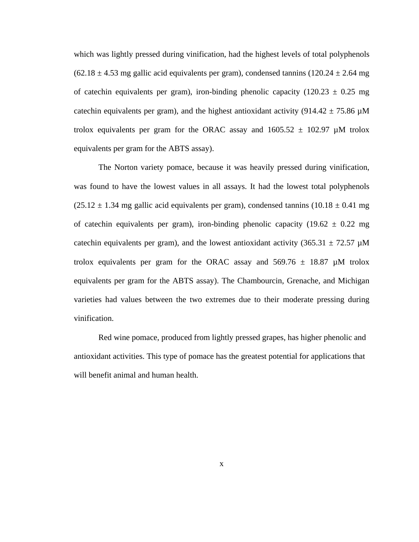which was lightly pressed during vinification, had the highest levels of total polyphenols  $(62.18 \pm 4.53 \text{ mg}$  gallic acid equivalents per gram), condensed tannins  $(120.24 \pm 2.64 \text{ mg})$ of catechin equivalents per gram), iron-binding phenolic capacity (120.23  $\pm$  0.25 mg catechin equivalents per gram), and the highest antioxidant activity (914.42  $\pm$  75.86  $\mu$ M trolox equivalents per gram for the ORAC assay and  $1605.52 \pm 102.97 \mu M$  trolox equivalents per gram for the ABTS assay).

 The Norton variety pomace, because it was heavily pressed during vinification, was found to have the lowest values in all assays. It had the lowest total polyphenols  $(25.12 \pm 1.34 \text{ mg}$  gallic acid equivalents per gram), condensed tannins  $(10.18 \pm 0.41 \text{ mg})$ of catechin equivalents per gram), iron-binding phenolic capacity (19.62  $\pm$  0.22 mg catechin equivalents per gram), and the lowest antioxidant activity (365.31  $\pm$  72.57  $\mu$ M trolox equivalents per gram for the ORAC assay and  $569.76 \pm 18.87 \mu M$  trolox equivalents per gram for the ABTS assay). The Chambourcin, Grenache, and Michigan varieties had values between the two extremes due to their moderate pressing during vinification.

Red wine pomace, produced from lightly pressed grapes, has higher phenolic and antioxidant activities. This type of pomace has the greatest potential for applications that will benefit animal and human health.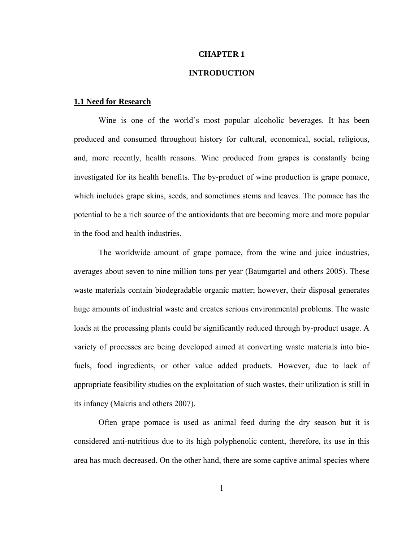### **CHAPTER 1**

# **INTRODUCTION**

### **1.1 Need for Research**

 Wine is one of the world's most popular alcoholic beverages. It has been produced and consumed throughout history for cultural, economical, social, religious, and, more recently, health reasons. Wine produced from grapes is constantly being investigated for its health benefits. The by-product of wine production is grape pomace, which includes grape skins, seeds, and sometimes stems and leaves. The pomace has the potential to be a rich source of the antioxidants that are becoming more and more popular in the food and health industries.

 The worldwide amount of grape pomace, from the wine and juice industries, averages about seven to nine million tons per year (Baumgartel and others 2005). These waste materials contain biodegradable organic matter; however, their disposal generates huge amounts of industrial waste and creates serious environmental problems. The waste loads at the processing plants could be significantly reduced through by-product usage. A variety of processes are being developed aimed at converting waste materials into biofuels, food ingredients, or other value added products. However, due to lack of appropriate feasibility studies on the exploitation of such wastes, their utilization is still in its infancy (Makris and others 2007).

 Often grape pomace is used as animal feed during the dry season but it is considered anti-nutritious due to its high polyphenolic content, therefore, its use in this area has much decreased. On the other hand, there are some captive animal species where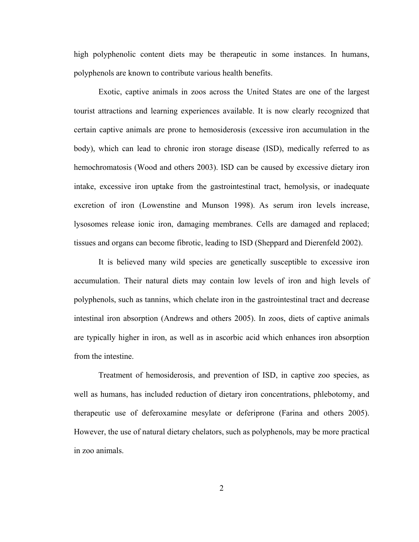high polyphenolic content diets may be therapeutic in some instances. In humans, polyphenols are known to contribute various health benefits.

Exotic, captive animals in zoos across the United States are one of the largest tourist attractions and learning experiences available. It is now clearly recognized that certain captive animals are prone to hemosiderosis (excessive iron accumulation in the body), which can lead to chronic iron storage disease (ISD), medically referred to as hemochromatosis (Wood and others 2003). ISD can be caused by excessive dietary iron intake, excessive iron uptake from the gastrointestinal tract, hemolysis, or inadequate excretion of iron (Lowenstine and Munson 1998). As serum iron levels increase, lysosomes release ionic iron, damaging membranes. Cells are damaged and replaced; tissues and organs can become fibrotic, leading to ISD (Sheppard and Dierenfeld 2002).

It is believed many wild species are genetically susceptible to excessive iron accumulation. Their natural diets may contain low levels of iron and high levels of polyphenols, such as tannins, which chelate iron in the gastrointestinal tract and decrease intestinal iron absorption (Andrews and others 2005). In zoos, diets of captive animals are typically higher in iron, as well as in ascorbic acid which enhances iron absorption from the intestine.

Treatment of hemosiderosis, and prevention of ISD, in captive zoo species, as well as humans, has included reduction of dietary iron concentrations, phlebotomy, and therapeutic use of deferoxamine mesylate or deferiprone (Farina and others 2005). However, the use of natural dietary chelators, such as polyphenols, may be more practical in zoo animals.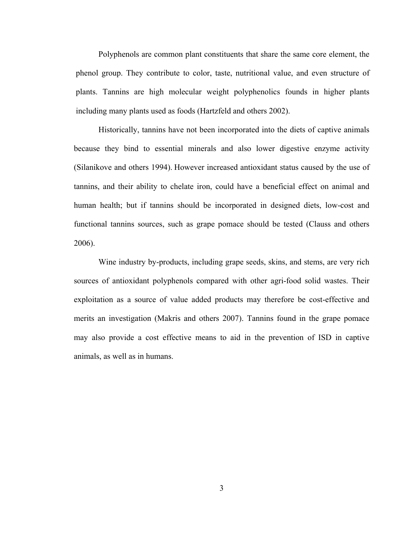Polyphenols are common plant constituents that share the same core element, the phenol group. They contribute to color, taste, nutritional value, and even structure of plants. Tannins are high molecular weight polyphenolics founds in higher plants including many plants used as foods (Hartzfeld and others 2002).

Historically, tannins have not been incorporated into the diets of captive animals because they bind to essential minerals and also lower digestive enzyme activity (Silanikove and others 1994). However increased antioxidant status caused by the use of tannins, and their ability to chelate iron, could have a beneficial effect on animal and human health; but if tannins should be incorporated in designed diets, low-cost and functional tannins sources, such as grape pomace should be tested (Clauss and others 2006).

Wine industry by-products, including grape seeds, skins, and stems, are very rich sources of antioxidant polyphenols compared with other agri-food solid wastes. Their exploitation as a source of value added products may therefore be cost-effective and merits an investigation (Makris and others 2007). Tannins found in the grape pomace may also provide a cost effective means to aid in the prevention of ISD in captive animals, as well as in humans.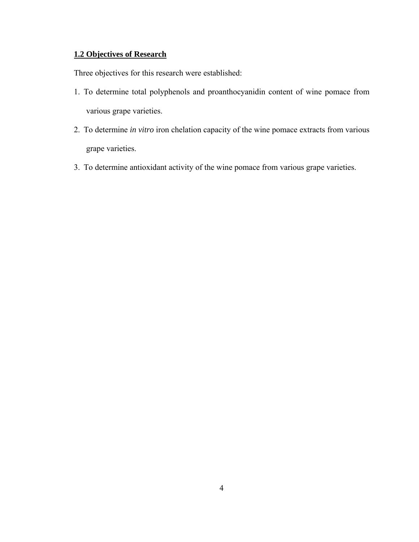# **1.2 Objectives of Research**

Three objectives for this research were established:

- 1. To determine total polyphenols and proanthocyanidin content of wine pomace from various grape varieties.
- 2. To determine *in vitro* iron chelation capacity of the wine pomace extracts from various grape varieties.
- 3. To determine antioxidant activity of the wine pomace from various grape varieties.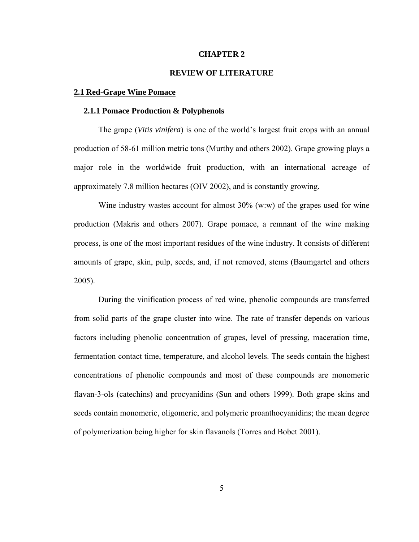### **CHAPTER 2**

# **REVIEW OF LITERATURE**

### **2.1 Red-Grape Wine Pomace**

### **2.1.1 Pomace Production & Polyphenols**

 The grape (*Vitis vinifera*) is one of the world's largest fruit crops with an annual production of 58-61 million metric tons (Murthy and others 2002). Grape growing plays a major role in the worldwide fruit production, with an international acreage of approximately 7.8 million hectares (OIV 2002), and is constantly growing.

Wine industry wastes account for almost 30% (w:w) of the grapes used for wine production (Makris and others 2007). Grape pomace, a remnant of the wine making process, is one of the most important residues of the wine industry. It consists of different amounts of grape, skin, pulp, seeds, and, if not removed, stems (Baumgartel and others 2005).

 During the vinification process of red wine, phenolic compounds are transferred from solid parts of the grape cluster into wine. The rate of transfer depends on various factors including phenolic concentration of grapes, level of pressing, maceration time, fermentation contact time, temperature, and alcohol levels. The seeds contain the highest concentrations of phenolic compounds and most of these compounds are monomeric flavan-3-ols (catechins) and procyanidins (Sun and others 1999). Both grape skins and seeds contain monomeric, oligomeric, and polymeric proanthocyanidins; the mean degree of polymerization being higher for skin flavanols (Torres and Bobet 2001).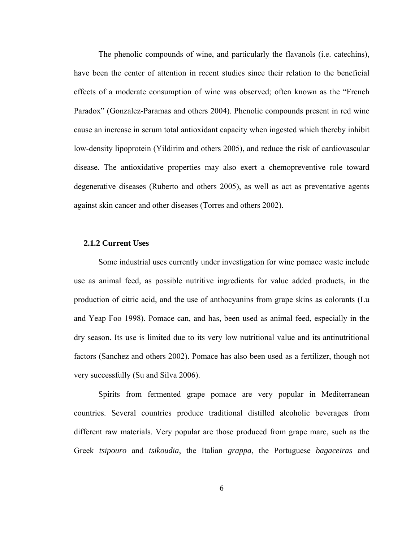The phenolic compounds of wine, and particularly the flavanols (i.e. catechins), have been the center of attention in recent studies since their relation to the beneficial effects of a moderate consumption of wine was observed; often known as the "French Paradox" (Gonzalez-Paramas and others 2004). Phenolic compounds present in red wine cause an increase in serum total antioxidant capacity when ingested which thereby inhibit low-density lipoprotein (Yildirim and others 2005), and reduce the risk of cardiovascular disease. The antioxidative properties may also exert a chemopreventive role toward degenerative diseases (Ruberto and others 2005), as well as act as preventative agents against skin cancer and other diseases (Torres and others 2002).

## **2.1.2 Current Uses**

 Some industrial uses currently under investigation for wine pomace waste include use as animal feed, as possible nutritive ingredients for value added products, in the production of citric acid, and the use of anthocyanins from grape skins as colorants (Lu and Yeap Foo 1998). Pomace can, and has, been used as animal feed, especially in the dry season. Its use is limited due to its very low nutritional value and its antinutritional factors (Sanchez and others 2002). Pomace has also been used as a fertilizer, though not very successfully (Su and Silva 2006).

 Spirits from fermented grape pomace are very popular in Mediterranean countries. Several countries produce traditional distilled alcoholic beverages from different raw materials. Very popular are those produced from grape marc, such as the Greek *tsipouro* and *tsikoudia*, the Italian *grappa*, the Portuguese *bagaceiras* and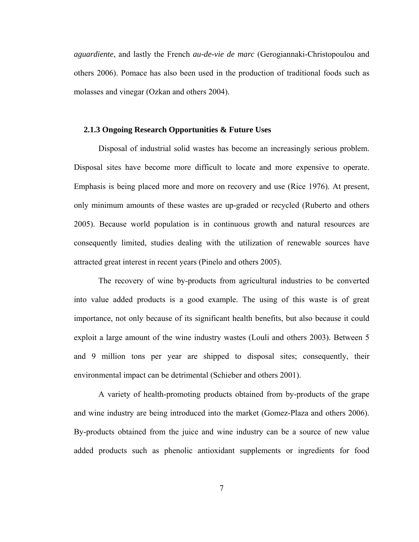*aguardiente*, and lastly the French *au-de-vie de marc* (Gerogiannaki-Christopoulou and others 2006). Pomace has also been used in the production of traditional foods such as molasses and vinegar (Ozkan and others 2004).

# **2.1.3 Ongoing Research Opportunities & Future Uses**

 Disposal of industrial solid wastes has become an increasingly serious problem. Disposal sites have become more difficult to locate and more expensive to operate. Emphasis is being placed more and more on recovery and use (Rice 1976). At present, only minimum amounts of these wastes are up-graded or recycled (Ruberto and others 2005). Because world population is in continuous growth and natural resources are consequently limited, studies dealing with the utilization of renewable sources have attracted great interest in recent years (Pinelo and others 2005).

 The recovery of wine by-products from agricultural industries to be converted into value added products is a good example. The using of this waste is of great importance, not only because of its significant health benefits, but also because it could exploit a large amount of the wine industry wastes (Louli and others 2003). Between 5 and 9 million tons per year are shipped to disposal sites; consequently, their environmental impact can be detrimental (Schieber and others 2001).

 A variety of health-promoting products obtained from by-products of the grape and wine industry are being introduced into the market (Gomez-Plaza and others 2006). By-products obtained from the juice and wine industry can be a source of new value added products such as phenolic antioxidant supplements or ingredients for food

7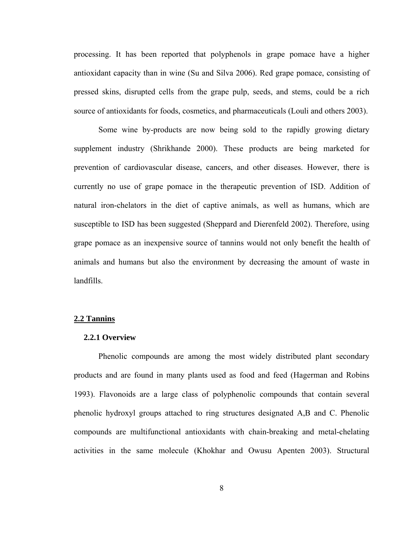processing. It has been reported that polyphenols in grape pomace have a higher antioxidant capacity than in wine (Su and Silva 2006). Red grape pomace, consisting of pressed skins, disrupted cells from the grape pulp, seeds, and stems, could be a rich source of antioxidants for foods, cosmetics, and pharmaceuticals (Louli and others 2003).

 Some wine by-products are now being sold to the rapidly growing dietary supplement industry (Shrikhande 2000). These products are being marketed for prevention of cardiovascular disease, cancers, and other diseases. However, there is currently no use of grape pomace in the therapeutic prevention of ISD. Addition of natural iron-chelators in the diet of captive animals, as well as humans, which are susceptible to ISD has been suggested (Sheppard and Dierenfeld 2002). Therefore, using grape pomace as an inexpensive source of tannins would not only benefit the health of animals and humans but also the environment by decreasing the amount of waste in landfills.

### **2.2 Tannins**

#### **2.2.1 Overview**

 Phenolic compounds are among the most widely distributed plant secondary products and are found in many plants used as food and feed (Hagerman and Robins 1993). Flavonoids are a large class of polyphenolic compounds that contain several phenolic hydroxyl groups attached to ring structures designated A,B and C. Phenolic compounds are multifunctional antioxidants with chain-breaking and metal-chelating activities in the same molecule (Khokhar and Owusu Apenten 2003). Structural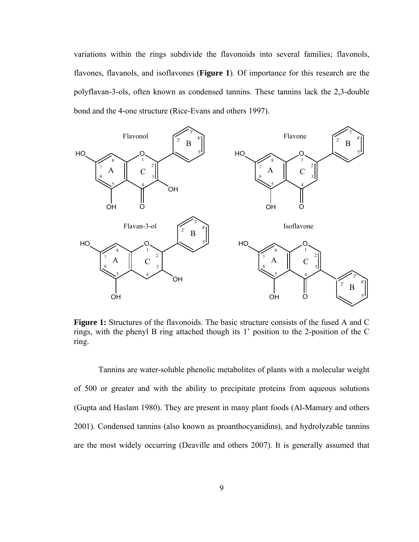variations within the rings subdivide the flavonoids into several families; flavonols, flavones, flavanols, and isoflavones (**Figure 1**). Of importance for this research are the polyflavan-3-ols, often known as condensed tannins. These tannins lack the 2,3-double bond and the 4-one structure (Rice-Evans and others 1997).



**Figure 1:** Structures of the flavonoids. The basic structure consists of the fused A and C rings, with the phenyl B ring attached though its 1' position to the 2-position of the C ring.

 Tannins are water-soluble phenolic metabolites of plants with a molecular weight of 500 or greater and with the ability to precipitate proteins from aqueous solutions (Gupta and Haslam 1980). They are present in many plant foods (Al-Mamary and others 2001). Condensed tannins (also known as proanthocyanidins), and hydrolyzable tannins are the most widely occurring (Deaville and others 2007). It is generally assumed that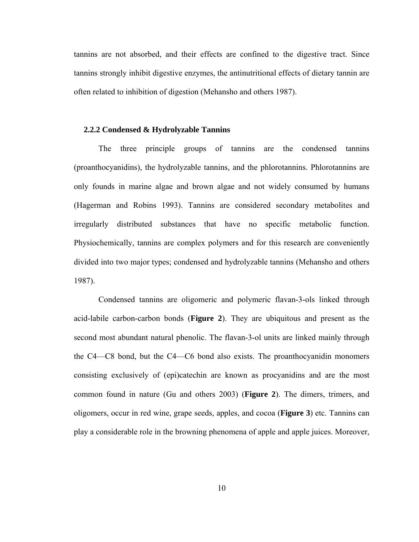tannins are not absorbed, and their effects are confined to the digestive tract. Since tannins strongly inhibit digestive enzymes, the antinutritional effects of dietary tannin are often related to inhibition of digestion (Mehansho and others 1987).

# **2.2.2 Condensed & Hydrolyzable Tannins**

The three principle groups of tannins are the condensed tannins (proanthocyanidins), the hydrolyzable tannins, and the phlorotannins. Phlorotannins are only founds in marine algae and brown algae and not widely consumed by humans (Hagerman and Robins 1993). Tannins are considered secondary metabolites and irregularly distributed substances that have no specific metabolic function. Physiochemically, tannins are complex polymers and for this research are conveniently divided into two major types; condensed and hydrolyzable tannins (Mehansho and others 1987).

 Condensed tannins are oligomeric and polymeric flavan-3-ols linked through acid-labile carbon-carbon bonds (**Figure 2**). They are ubiquitous and present as the second most abundant natural phenolic. The flavan-3-ol units are linked mainly through the C4—C8 bond, but the C4—C6 bond also exists. The proanthocyanidin monomers consisting exclusively of (epi)catechin are known as procyanidins and are the most common found in nature (Gu and others 2003) (**Figure 2**). The dimers, trimers, and oligomers, occur in red wine, grape seeds, apples, and cocoa (**Figure 3**) etc. Tannins can play a considerable role in the browning phenomena of apple and apple juices. Moreover,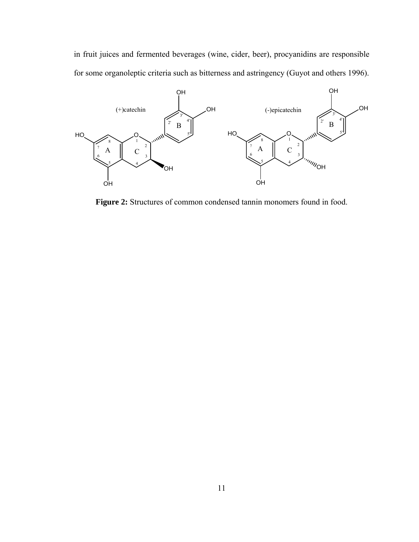in fruit juices and fermented beverages (wine, cider, beer), procyanidins are responsible for some organoleptic criteria such as bitterness and astringency (Guyot and others 1996).



**Figure 2:** Structures of common condensed tannin monomers found in food.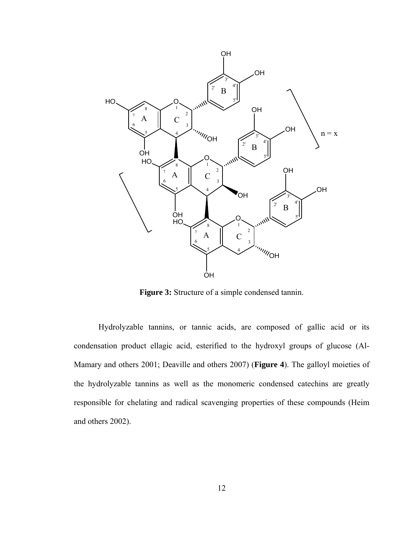

**Figure 3:** Structure of a simple condensed tannin.

 Hydrolyzable tannins, or tannic acids, are composed of gallic acid or its condensation product ellagic acid, esterified to the hydroxyl groups of glucose (Al-Mamary and others 2001; Deaville and others 2007) (**Figure 4**). The galloyl moieties of the hydrolyzable tannins as well as the monomeric condensed catechins are greatly responsible for chelating and radical scavenging properties of these compounds (Heim and others 2002).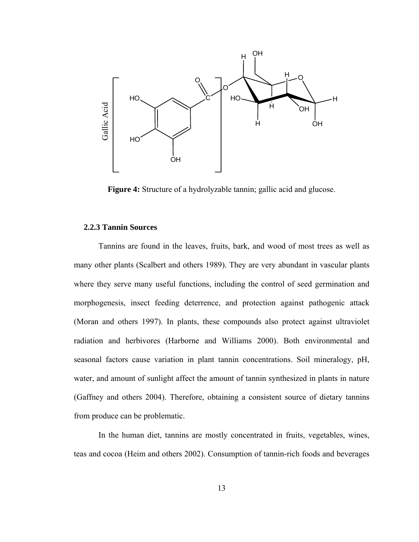

**Figure 4:** Structure of a hydrolyzable tannin; gallic acid and glucose.

# **2.2.3 Tannin Sources**

 Tannins are found in the leaves, fruits, bark, and wood of most trees as well as many other plants (Scalbert and others 1989). They are very abundant in vascular plants where they serve many useful functions, including the control of seed germination and morphogenesis, insect feeding deterrence, and protection against pathogenic attack (Moran and others 1997). In plants, these compounds also protect against ultraviolet radiation and herbivores (Harborne and Williams 2000). Both environmental and seasonal factors cause variation in plant tannin concentrations. Soil mineralogy, pH, water, and amount of sunlight affect the amount of tannin synthesized in plants in nature (Gaffney and others 2004). Therefore, obtaining a consistent source of dietary tannins from produce can be problematic.

 In the human diet, tannins are mostly concentrated in fruits, vegetables, wines, teas and cocoa (Heim and others 2002). Consumption of tannin-rich foods and beverages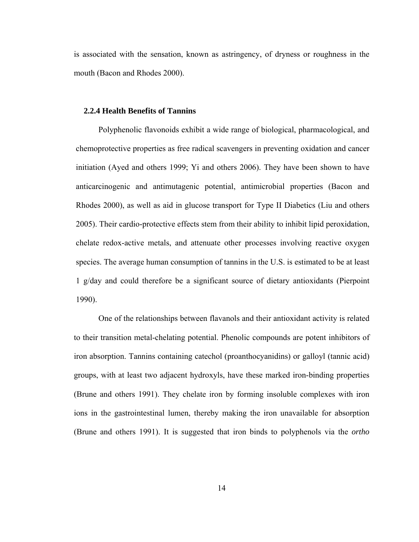is associated with the sensation, known as astringency, of dryness or roughness in the mouth (Bacon and Rhodes 2000).

### **2.2.4 Health Benefits of Tannins**

 Polyphenolic flavonoids exhibit a wide range of biological, pharmacological, and chemoprotective properties as free radical scavengers in preventing oxidation and cancer initiation (Ayed and others 1999; Yi and others 2006). They have been shown to have anticarcinogenic and antimutagenic potential, antimicrobial properties (Bacon and Rhodes 2000), as well as aid in glucose transport for Type II Diabetics (Liu and others 2005). Their cardio-protective effects stem from their ability to inhibit lipid peroxidation, chelate redox-active metals, and attenuate other processes involving reactive oxygen species. The average human consumption of tannins in the U.S. is estimated to be at least 1 g/day and could therefore be a significant source of dietary antioxidants (Pierpoint 1990).

 One of the relationships between flavanols and their antioxidant activity is related to their transition metal-chelating potential. Phenolic compounds are potent inhibitors of iron absorption. Tannins containing catechol (proanthocyanidins) or galloyl (tannic acid) groups, with at least two adjacent hydroxyls, have these marked iron-binding properties (Brune and others 1991). They chelate iron by forming insoluble complexes with iron ions in the gastrointestinal lumen, thereby making the iron unavailable for absorption (Brune and others 1991). It is suggested that iron binds to polyphenols via the *ortho*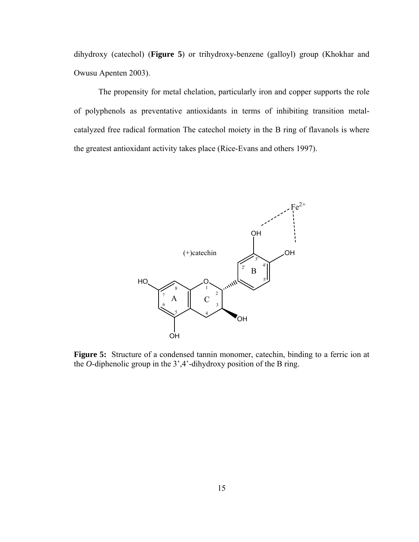dihydroxy (catechol) (**Figure 5**) or trihydroxy-benzene (galloyl) group (Khokhar and Owusu Apenten 2003).

 The propensity for metal chelation, particularly iron and copper supports the role of polyphenols as preventative antioxidants in terms of inhibiting transition metalcatalyzed free radical formation The catechol moiety in the B ring of flavanols is where the greatest antioxidant activity takes place (Rice-Evans and others 1997).



**Figure 5:** Structure of a condensed tannin monomer, catechin, binding to a ferric ion at the *O*-diphenolic group in the 3',4'-dihydroxy position of the B ring.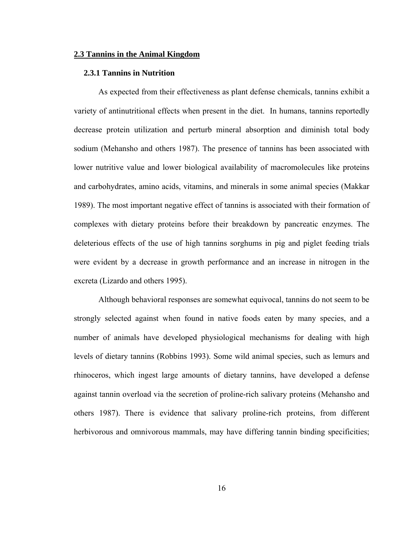#### **2.3 Tannins in the Animal Kingdom**

## **2.3.1 Tannins in Nutrition**

 As expected from their effectiveness as plant defense chemicals, tannins exhibit a variety of antinutritional effects when present in the diet. In humans, tannins reportedly decrease protein utilization and perturb mineral absorption and diminish total body sodium (Mehansho and others 1987). The presence of tannins has been associated with lower nutritive value and lower biological availability of macromolecules like proteins and carbohydrates, amino acids, vitamins, and minerals in some animal species (Makkar 1989). The most important negative effect of tannins is associated with their formation of complexes with dietary proteins before their breakdown by pancreatic enzymes. The deleterious effects of the use of high tannins sorghums in pig and piglet feeding trials were evident by a decrease in growth performance and an increase in nitrogen in the excreta (Lizardo and others 1995).

 Although behavioral responses are somewhat equivocal, tannins do not seem to be strongly selected against when found in native foods eaten by many species, and a number of animals have developed physiological mechanisms for dealing with high levels of dietary tannins (Robbins 1993). Some wild animal species, such as lemurs and rhinoceros, which ingest large amounts of dietary tannins, have developed a defense against tannin overload via the secretion of proline-rich salivary proteins (Mehansho and others 1987). There is evidence that salivary proline-rich proteins, from different herbivorous and omnivorous mammals, may have differing tannin binding specificities;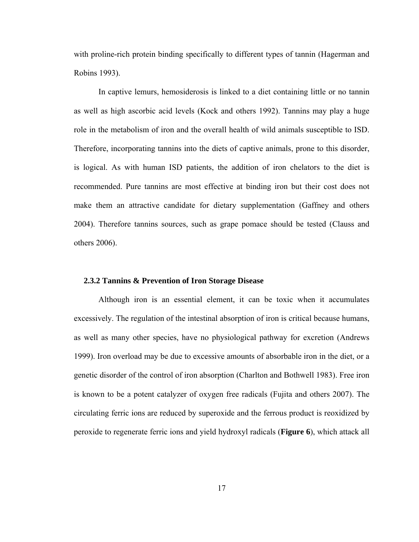with proline-rich protein binding specifically to different types of tannin (Hagerman and Robins 1993).

 In captive lemurs, hemosiderosis is linked to a diet containing little or no tannin as well as high ascorbic acid levels (Kock and others 1992). Tannins may play a huge role in the metabolism of iron and the overall health of wild animals susceptible to ISD. Therefore, incorporating tannins into the diets of captive animals, prone to this disorder, is logical. As with human ISD patients, the addition of iron chelators to the diet is recommended. Pure tannins are most effective at binding iron but their cost does not make them an attractive candidate for dietary supplementation (Gaffney and others 2004). Therefore tannins sources, such as grape pomace should be tested (Clauss and others 2006).

### **2.3.2 Tannins & Prevention of Iron Storage Disease**

Although iron is an essential element, it can be toxic when it accumulates excessively. The regulation of the intestinal absorption of iron is critical because humans, as well as many other species, have no physiological pathway for excretion (Andrews 1999). Iron overload may be due to excessive amounts of absorbable iron in the diet, or a genetic disorder of the control of iron absorption (Charlton and Bothwell 1983). Free iron is known to be a potent catalyzer of oxygen free radicals (Fujita and others 2007). The circulating ferric ions are reduced by superoxide and the ferrous product is reoxidized by peroxide to regenerate ferric ions and yield hydroxyl radicals (**Figure 6**), which attack all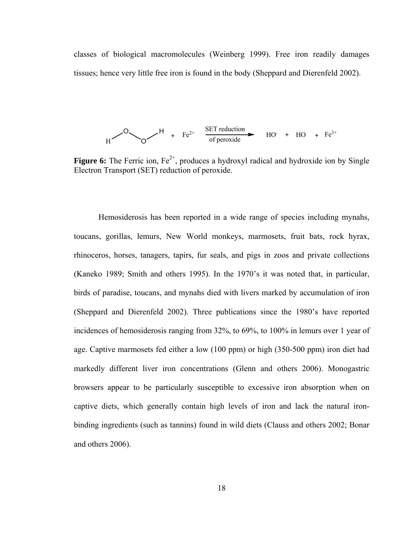classes of biological macromolecules (Weinberg 1999). Free iron readily damages tissues; hence very little free iron is found in the body (Sheppard and Dierenfeld 2002).

$$
H \longrightarrow 0
$$

**Figure 6:** The Ferric ion, Fe<sup>2+</sup>, produces a hydroxyl radical and hydroxide ion by Single Electron Transport (SET) reduction of peroxide.

Hemosiderosis has been reported in a wide range of species including mynahs, toucans, gorillas, lemurs, New World monkeys, marmosets, fruit bats, rock hyrax, rhinoceros, horses, tanagers, tapirs, fur seals, and pigs in zoos and private collections (Kaneko 1989; Smith and others 1995). In the 1970's it was noted that, in particular, birds of paradise, toucans, and mynahs died with livers marked by accumulation of iron (Sheppard and Dierenfeld 2002). Three publications since the 1980's have reported incidences of hemosiderosis ranging from 32%, to 69%, to 100% in lemurs over 1 year of age. Captive marmosets fed either a low (100 ppm) or high (350-500 ppm) iron diet had markedly different liver iron concentrations (Glenn and others 2006). Monogastric browsers appear to be particularly susceptible to excessive iron absorption when on captive diets, which generally contain high levels of iron and lack the natural ironbinding ingredients (such as tannins) found in wild diets (Clauss and others 2002; Bonar and others 2006).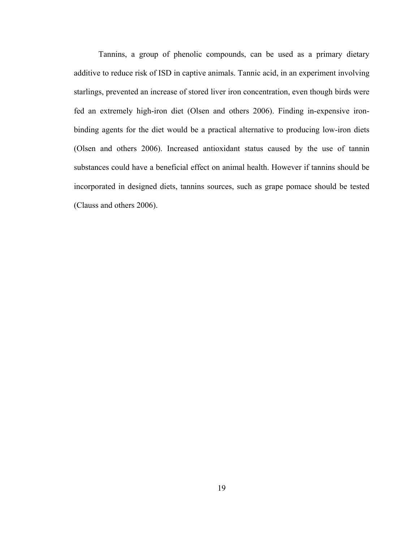Tannins, a group of phenolic compounds, can be used as a primary dietary additive to reduce risk of ISD in captive animals. Tannic acid, in an experiment involving starlings, prevented an increase of stored liver iron concentration, even though birds were fed an extremely high-iron diet (Olsen and others 2006). Finding in-expensive ironbinding agents for the diet would be a practical alternative to producing low-iron diets (Olsen and others 2006). Increased antioxidant status caused by the use of tannin substances could have a beneficial effect on animal health. However if tannins should be incorporated in designed diets, tannins sources, such as grape pomace should be tested (Clauss and others 2006).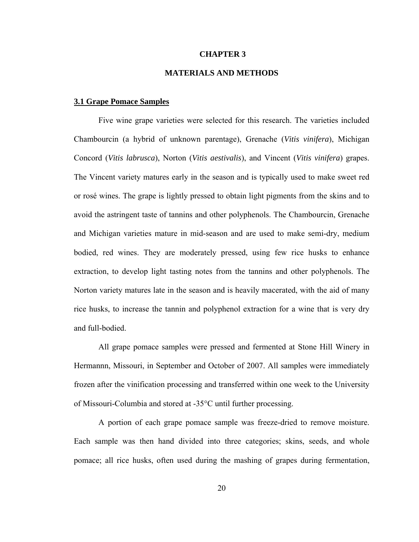### **CHAPTER 3**

# **MATERIALS AND METHODS**

### **3.1 Grape Pomace Samples**

 Five wine grape varieties were selected for this research. The varieties included Chambourcin (a hybrid of unknown parentage), Grenache (*Vitis vinifera*), Michigan Concord (*Vitis labrusca*), Norton (*Vitis aestivalis*), and Vincent (*Vitis vinifera*) grapes. The Vincent variety matures early in the season and is typically used to make sweet red or rosé wines. The grape is lightly pressed to obtain light pigments from the skins and to avoid the astringent taste of tannins and other polyphenols. The Chambourcin, Grenache and Michigan varieties mature in mid-season and are used to make semi-dry, medium bodied, red wines. They are moderately pressed, using few rice husks to enhance extraction, to develop light tasting notes from the tannins and other polyphenols. The Norton variety matures late in the season and is heavily macerated, with the aid of many rice husks, to increase the tannin and polyphenol extraction for a wine that is very dry and full-bodied.

 All grape pomace samples were pressed and fermented at Stone Hill Winery in Hermannn, Missouri, in September and October of 2007. All samples were immediately frozen after the vinification processing and transferred within one week to the University of Missouri-Columbia and stored at -35°C until further processing.

 A portion of each grape pomace sample was freeze-dried to remove moisture. Each sample was then hand divided into three categories; skins, seeds, and whole pomace; all rice husks, often used during the mashing of grapes during fermentation,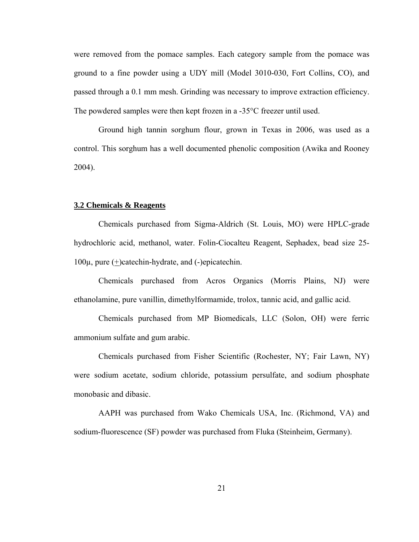were removed from the pomace samples. Each category sample from the pomace was ground to a fine powder using a UDY mill (Model 3010-030, Fort Collins, CO), and passed through a 0.1 mm mesh. Grinding was necessary to improve extraction efficiency. The powdered samples were then kept frozen in a -35°C freezer until used.

 Ground high tannin sorghum flour, grown in Texas in 2006, was used as a control. This sorghum has a well documented phenolic composition (Awika and Rooney 2004).

### **3.2 Chemicals & Reagents**

 Chemicals purchased from Sigma-Aldrich (St. Louis, MO) were HPLC-grade hydrochloric acid, methanol, water. Folin-Ciocalteu Reagent, Sephadex, bead size 25- 100µ, pure (+)catechin-hydrate, and (-)epicatechin.

 Chemicals purchased from Acros Organics (Morris Plains, NJ) were ethanolamine, pure vanillin, dimethylformamide, trolox, tannic acid, and gallic acid.

 Chemicals purchased from MP Biomedicals, LLC (Solon, OH) were ferric ammonium sulfate and gum arabic.

 Chemicals purchased from Fisher Scientific (Rochester, NY; Fair Lawn, NY) were sodium acetate, sodium chloride, potassium persulfate, and sodium phosphate monobasic and dibasic.

 AAPH was purchased from Wako Chemicals USA, Inc. (Richmond, VA) and sodium-fluorescence (SF) powder was purchased from Fluka (Steinheim, Germany).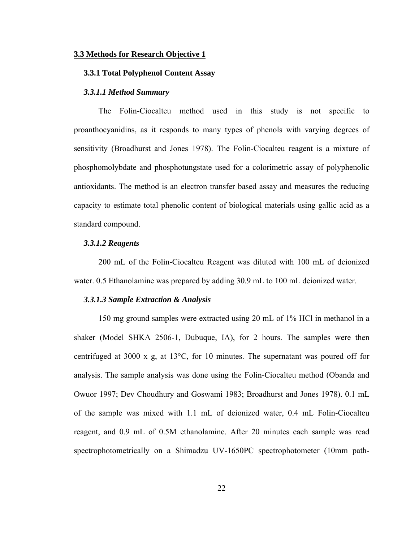#### **3.3 Methods for Research Objective 1**

### **3.3.1 Total Polyphenol Content Assay**

## *3.3.1.1 Method Summary*

The Folin-Ciocalteu method used in this study is not specific to proanthocyanidins, as it responds to many types of phenols with varying degrees of sensitivity (Broadhurst and Jones 1978). The Folin-Ciocalteu reagent is a mixture of phosphomolybdate and phosphotungstate used for a colorimetric assay of polyphenolic antioxidants. The method is an electron transfer based assay and measures the reducing capacity to estimate total phenolic content of biological materials using gallic acid as a standard compound.

#### *3.3.1.2 Reagents*

 200 mL of the Folin-Ciocalteu Reagent was diluted with 100 mL of deionized water. 0.5 Ethanolamine was prepared by adding 30.9 mL to 100 mL deionized water.

#### *3.3.1.3 Sample Extraction & Analysis*

150 mg ground samples were extracted using 20 mL of 1% HCl in methanol in a shaker (Model SHKA 2506-1, Dubuque, IA), for 2 hours. The samples were then centrifuged at 3000 x g, at 13°C, for 10 minutes. The supernatant was poured off for analysis. The sample analysis was done using the Folin-Ciocalteu method (Obanda and Owuor 1997; Dev Choudhury and Goswami 1983; Broadhurst and Jones 1978). 0.1 mL of the sample was mixed with 1.1 mL of deionized water, 0.4 mL Folin-Ciocalteu reagent, and 0.9 mL of 0.5M ethanolamine. After 20 minutes each sample was read spectrophotometrically on a Shimadzu UV-1650PC spectrophotometer (10mm path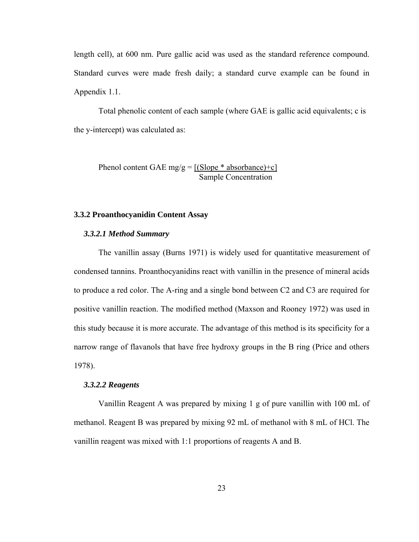length cell), at 600 nm. Pure gallic acid was used as the standard reference compound. Standard curves were made fresh daily; a standard curve example can be found in Appendix 1.1.

 Total phenolic content of each sample (where GAE is gallic acid equivalents; c is the y-intercept) was calculated as:

Phenol content GAE mg/g =  $[(Slope * absorbance)+c]$ Sample Concentration

# **3.3.2 Proanthocyanidin Content Assay**

# *3.3.2.1 Method Summary*

The vanillin assay (Burns 1971) is widely used for quantitative measurement of condensed tannins. Proanthocyanidins react with vanillin in the presence of mineral acids to produce a red color. The A-ring and a single bond between C2 and C3 are required for positive vanillin reaction. The modified method (Maxson and Rooney 1972) was used in this study because it is more accurate. The advantage of this method is its specificity for a narrow range of flavanols that have free hydroxy groups in the B ring (Price and others 1978).

# *3.3.2.2 Reagents*

Vanillin Reagent A was prepared by mixing 1 g of pure vanillin with 100 mL of methanol. Reagent B was prepared by mixing 92 mL of methanol with 8 mL of HCl. The vanillin reagent was mixed with 1:1 proportions of reagents A and B.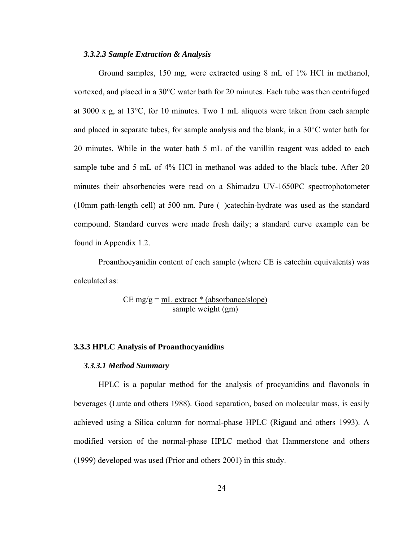### *3.3.2.3 Sample Extraction & Analysis*

Ground samples, 150 mg, were extracted using 8 mL of 1% HCl in methanol, vortexed, and placed in a 30°C water bath for 20 minutes. Each tube was then centrifuged at 3000 x g, at 13°C, for 10 minutes. Two 1 mL aliquots were taken from each sample and placed in separate tubes, for sample analysis and the blank, in a 30°C water bath for 20 minutes. While in the water bath 5 mL of the vanillin reagent was added to each sample tube and 5 mL of 4% HCl in methanol was added to the black tube. After 20 minutes their absorbencies were read on a Shimadzu UV-1650PC spectrophotometer (10mm path-length cell) at 500 nm. Pure (+)catechin-hydrate was used as the standard compound. Standard curves were made fresh daily; a standard curve example can be found in Appendix 1.2.

 Proanthocyanidin content of each sample (where CE is catechin equivalents) was calculated as:

> $CE mg/g = mL extract * (absorbance/slope)$ sample weight (gm)

### **3.3.3 HPLC Analysis of Proanthocyanidins**

# *3.3.3.1 Method Summary*

 HPLC is a popular method for the analysis of procyanidins and flavonols in beverages (Lunte and others 1988). Good separation, based on molecular mass, is easily achieved using a Silica column for normal-phase HPLC (Rigaud and others 1993). A modified version of the normal-phase HPLC method that Hammerstone and others (1999) developed was used (Prior and others 2001) in this study.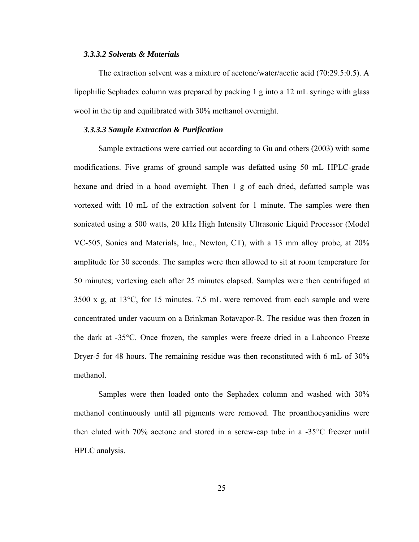### *3.3.3.2 Solvents & Materials*

The extraction solvent was a mixture of acetone/water/acetic acid (70:29.5:0.5). A lipophilic Sephadex column was prepared by packing 1 g into a 12 mL syringe with glass wool in the tip and equilibrated with 30% methanol overnight.

# *3.3.3.3 Sample Extraction & Purification*

Sample extractions were carried out according to Gu and others (2003) with some modifications. Five grams of ground sample was defatted using 50 mL HPLC-grade hexane and dried in a hood overnight. Then 1 g of each dried, defatted sample was vortexed with 10 mL of the extraction solvent for 1 minute. The samples were then sonicated using a 500 watts, 20 kHz High Intensity Ultrasonic Liquid Processor (Model VC-505, Sonics and Materials, Inc., Newton, CT), with a 13 mm alloy probe, at 20% amplitude for 30 seconds. The samples were then allowed to sit at room temperature for 50 minutes; vortexing each after 25 minutes elapsed. Samples were then centrifuged at 3500 x g, at 13°C, for 15 minutes. 7.5 mL were removed from each sample and were concentrated under vacuum on a Brinkman Rotavapor-R. The residue was then frozen in the dark at -35°C. Once frozen, the samples were freeze dried in a Labconco Freeze Dryer-5 for 48 hours. The remaining residue was then reconstituted with 6 mL of 30% methanol.

 Samples were then loaded onto the Sephadex column and washed with 30% methanol continuously until all pigments were removed. The proanthocyanidins were then eluted with 70% acetone and stored in a screw-cap tube in a -35°C freezer until HPLC analysis.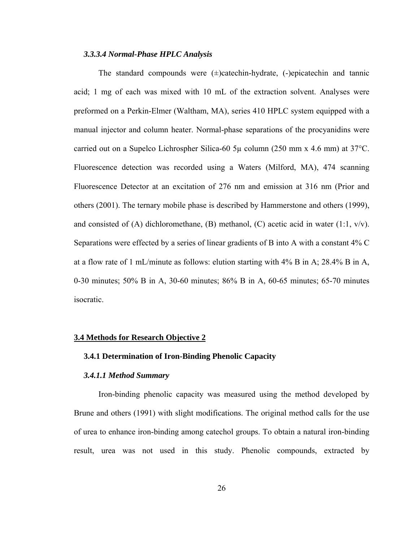# *3.3.3.4 Normal-Phase HPLC Analysis*

The standard compounds were  $(\pm)$ catechin-hydrate,  $(\text{-})$ epicatechin and tannic acid; 1 mg of each was mixed with 10 mL of the extraction solvent. Analyses were preformed on a Perkin-Elmer (Waltham, MA), series 410 HPLC system equipped with a manual injector and column heater. Normal-phase separations of the procyanidins were carried out on a Supelco Lichrospher Silica-60  $5\mu$  column (250 mm x 4.6 mm) at 37<sup>o</sup>C. Fluorescence detection was recorded using a Waters (Milford, MA), 474 scanning Fluorescence Detector at an excitation of 276 nm and emission at 316 nm (Prior and others (2001). The ternary mobile phase is described by Hammerstone and others (1999), and consisted of (A) dichloromethane, (B) methanol, (C) acetic acid in water  $(1:1, v/v)$ . Separations were effected by a series of linear gradients of B into A with a constant 4% C at a flow rate of 1 mL/minute as follows: elution starting with 4% B in A; 28.4% B in A, 0-30 minutes; 50% B in A, 30-60 minutes; 86% B in A, 60-65 minutes; 65-70 minutes isocratic.

#### **3.4 Methods for Research Objective 2**

# **3.4.1 Determination of Iron-Binding Phenolic Capacity**

### *3.4.1.1 Method Summary*

 Iron-binding phenolic capacity was measured using the method developed by Brune and others (1991) with slight modifications. The original method calls for the use of urea to enhance iron-binding among catechol groups. To obtain a natural iron-binding result, urea was not used in this study. Phenolic compounds, extracted by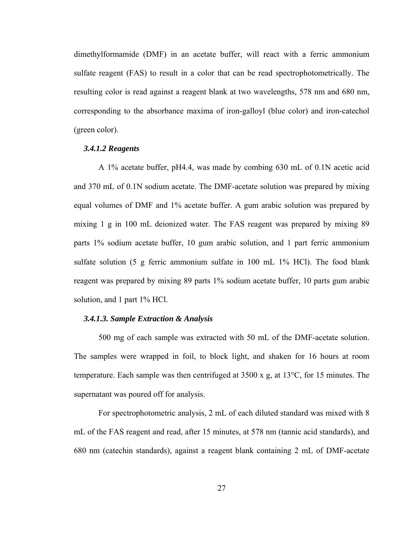dimethylformamide (DMF) in an acetate buffer, will react with a ferric ammonium sulfate reagent (FAS) to result in a color that can be read spectrophotometrically. The resulting color is read against a reagent blank at two wavelengths, 578 nm and 680 nm, corresponding to the absorbance maxima of iron-galloyl (blue color) and iron-catechol (green color).

# *3.4.1.2 Reagents*

 A 1% acetate buffer, pH4.4, was made by combing 630 mL of 0.1N acetic acid and 370 mL of 0.1N sodium acetate. The DMF-acetate solution was prepared by mixing equal volumes of DMF and 1% acetate buffer. A gum arabic solution was prepared by mixing 1 g in 100 mL deionized water. The FAS reagent was prepared by mixing 89 parts 1% sodium acetate buffer, 10 gum arabic solution, and 1 part ferric ammonium sulfate solution (5 g ferric ammonium sulfate in 100 mL 1% HCl). The food blank reagent was prepared by mixing 89 parts 1% sodium acetate buffer, 10 parts gum arabic solution, and 1 part 1% HCl.

### *3.4.1.3. Sample Extraction & Analysis*

 500 mg of each sample was extracted with 50 mL of the DMF-acetate solution. The samples were wrapped in foil, to block light, and shaken for 16 hours at room temperature. Each sample was then centrifuged at 3500 x g, at 13°C, for 15 minutes. The supernatant was poured off for analysis.

 For spectrophotometric analysis, 2 mL of each diluted standard was mixed with 8 mL of the FAS reagent and read, after 15 minutes, at 578 nm (tannic acid standards), and 680 nm (catechin standards), against a reagent blank containing 2 mL of DMF-acetate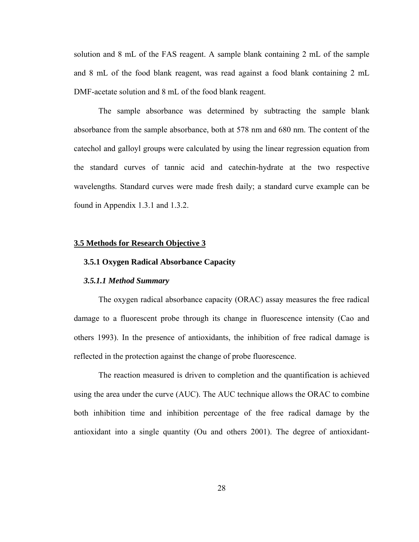solution and 8 mL of the FAS reagent. A sample blank containing 2 mL of the sample and 8 mL of the food blank reagent, was read against a food blank containing 2 mL DMF-acetate solution and 8 mL of the food blank reagent.

The sample absorbance was determined by subtracting the sample blank absorbance from the sample absorbance, both at 578 nm and 680 nm. The content of the catechol and galloyl groups were calculated by using the linear regression equation from the standard curves of tannic acid and catechin-hydrate at the two respective wavelengths. Standard curves were made fresh daily; a standard curve example can be found in Appendix 1.3.1 and 1.3.2.

### **3.5 Methods for Research Objective 3**

### **3.5.1 Oxygen Radical Absorbance Capacity**

# *3.5.1.1 Method Summary*

The oxygen radical absorbance capacity (ORAC) assay measures the free radical damage to a fluorescent probe through its change in fluorescence intensity (Cao and others 1993). In the presence of antioxidants, the inhibition of free radical damage is reflected in the protection against the change of probe fluorescence.

 The reaction measured is driven to completion and the quantification is achieved using the area under the curve (AUC). The AUC technique allows the ORAC to combine both inhibition time and inhibition percentage of the free radical damage by the antioxidant into a single quantity (Ou and others 2001). The degree of antioxidant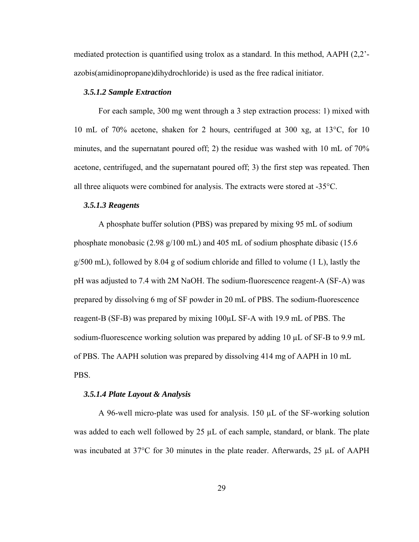mediated protection is quantified using trolox as a standard. In this method, AAPH (2,2' azobis(amidinopropane)dihydrochloride) is used as the free radical initiator.

# *3.5.1.2 Sample Extraction*

 For each sample, 300 mg went through a 3 step extraction process: 1) mixed with 10 mL of 70% acetone, shaken for 2 hours, centrifuged at 300 xg, at 13°C, for 10 minutes, and the supernatant poured off; 2) the residue was washed with 10 mL of 70% acetone, centrifuged, and the supernatant poured off; 3) the first step was repeated. Then all three aliquots were combined for analysis. The extracts were stored at  $-35^{\circ}$ C.

### *3.5.1.3 Reagents*

A phosphate buffer solution (PBS) was prepared by mixing 95 mL of sodium phosphate monobasic (2.98 g/100 mL) and 405 mL of sodium phosphate dibasic (15.6 g/500 mL), followed by 8.04 g of sodium chloride and filled to volume (1 L), lastly the pH was adjusted to 7.4 with 2M NaOH. The sodium-fluorescence reagent-A (SF-A) was prepared by dissolving 6 mg of SF powder in 20 mL of PBS. The sodium-fluorescence reagent-B (SF-B) was prepared by mixing 100µL SF-A with 19.9 mL of PBS. The sodium-fluorescence working solution was prepared by adding 10 µL of SF-B to 9.9 mL of PBS. The AAPH solution was prepared by dissolving 414 mg of AAPH in 10 mL PBS.

#### *3.5.1.4 Plate Layout & Analysis*

A 96-well micro-plate was used for analysis. 150  $\mu$ L of the SF-working solution was added to each well followed by  $25 \mu L$  of each sample, standard, or blank. The plate was incubated at 37°C for 30 minutes in the plate reader. Afterwards, 25 µL of AAPH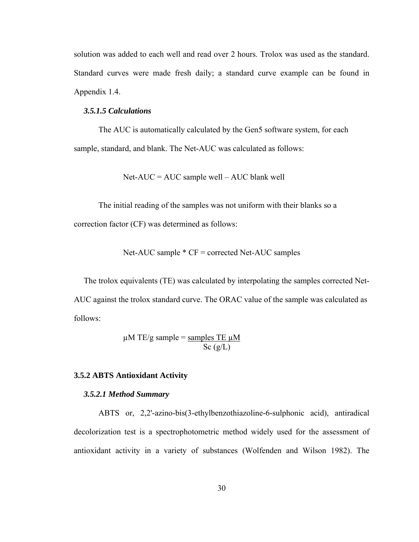solution was added to each well and read over 2 hours. Trolox was used as the standard. Standard curves were made fresh daily; a standard curve example can be found in Appendix 1.4.

# *3.5.1.5 Calculations*

The AUC is automatically calculated by the Gen5 software system, for each sample, standard, and blank. The Net-AUC was calculated as follows:

 $Net-AUC = AUC$  sample well –  $AUC$  blank well

 The initial reading of the samples was not uniform with their blanks so a correction factor (CF) was determined as follows:

Net-AUC sample \* CF = corrected Net-AUC samples

 The trolox equivalents (TE) was calculated by interpolating the samples corrected Net-AUC against the trolox standard curve. The ORAC value of the sample was calculated as follows:

$$
\mu \text{M TE/g sample} = \frac{\text{samples TE } \mu \text{M}}{\text{Sc (g/L)}}
$$

# **3.5.2 ABTS Antioxidant Activity**

### *3.5.2.1 Method Summary*

ABTS or, 2,2'-azino-bis(3-ethylbenzothiazoline-6-sulphonic acid), antiradical decolorization test is a spectrophotometric method widely used for the assessment of antioxidant activity in a variety of substances (Wolfenden and Wilson 1982). The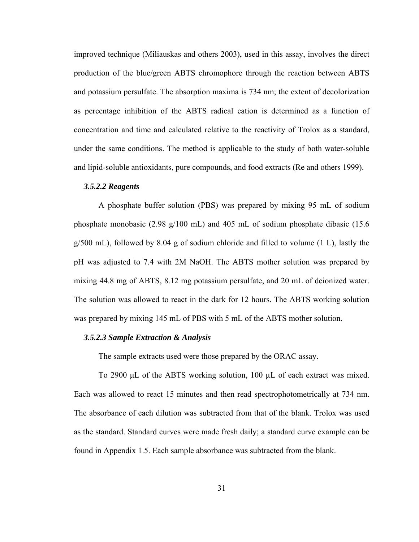improved technique (Miliauskas and others 2003), used in this assay, involves the direct production of the blue/green ABTS chromophore through the reaction between ABTS and potassium persulfate. The absorption maxima is 734 nm; the extent of decolorization as percentage inhibition of the ABTS radical cation is determined as a function of concentration and time and calculated relative to the reactivity of Trolox as a standard, under the same conditions. The method is applicable to the study of both water-soluble and lipid-soluble antioxidants, pure compounds, and food extracts (Re and others 1999).

### *3.5.2.2 Reagents*

A phosphate buffer solution (PBS) was prepared by mixing 95 mL of sodium phosphate monobasic (2.98 g/100 mL) and 405 mL of sodium phosphate dibasic (15.6  $g/500$  mL), followed by 8.04 g of sodium chloride and filled to volume (1 L), lastly the pH was adjusted to 7.4 with 2M NaOH. The ABTS mother solution was prepared by mixing 44.8 mg of ABTS, 8.12 mg potassium persulfate, and 20 mL of deionized water. The solution was allowed to react in the dark for 12 hours. The ABTS working solution was prepared by mixing 145 mL of PBS with 5 mL of the ABTS mother solution.

### *3.5.2.3 Sample Extraction & Analysis*

The sample extracts used were those prepared by the ORAC assay.

To 2900 μL of the ABTS working solution, 100 µL of each extract was mixed. Each was allowed to react 15 minutes and then read spectrophotometrically at 734 nm. The absorbance of each dilution was subtracted from that of the blank. Trolox was used as the standard. Standard curves were made fresh daily; a standard curve example can be found in Appendix 1.5. Each sample absorbance was subtracted from the blank.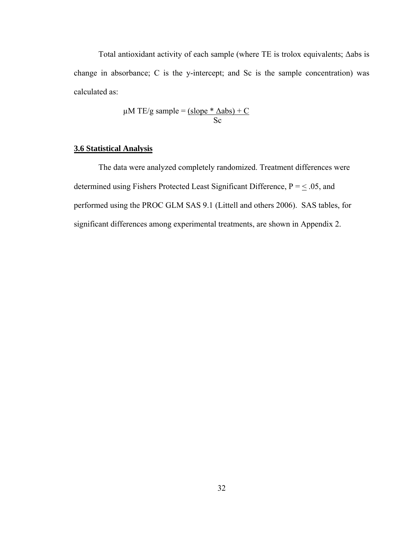Total antioxidant activity of each sample (where TE is trolox equivalents; Δabs is change in absorbance; C is the y-intercept; and Sc is the sample concentration) was calculated as:

$$
\mu \text{M TE/g sample} = \frac{\text{(slope * } \Delta \text{abs}) + \text{C}}{\text{Sc}}
$$

# **3.6 Statistical Analysis**

 The data were analyzed completely randomized. Treatment differences were determined using Fishers Protected Least Significant Difference,  $P = \leq .05$ , and performed using the PROC GLM SAS 9.1 (Littell and others 2006). SAS tables, for significant differences among experimental treatments, are shown in Appendix 2.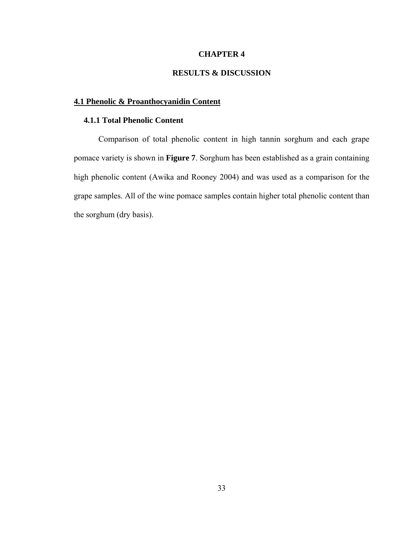# **CHAPTER 4**

# **RESULTS & DISCUSSION**

# **4.1 Phenolic & Proanthocyanidin Content**

# **4.1.1 Total Phenolic Content**

Comparison of total phenolic content in high tannin sorghum and each grape pomace variety is shown in **Figure 7**. Sorghum has been established as a grain containing high phenolic content (Awika and Rooney 2004) and was used as a comparison for the grape samples. All of the wine pomace samples contain higher total phenolic content than the sorghum (dry basis).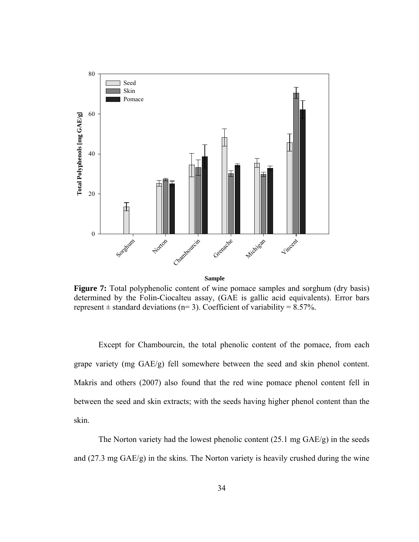

**Sample**

**Figure 7:** Total polyphenolic content of wine pomace samples and sorghum (dry basis) determined by the Folin-Ciocalteu assay, (GAE is gallic acid equivalents). Error bars represent  $\pm$  standard deviations (n= 3). Coefficient of variability = 8.57%.

 Except for Chambourcin, the total phenolic content of the pomace, from each grape variety (mg GAE/g) fell somewhere between the seed and skin phenol content. Makris and others (2007) also found that the red wine pomace phenol content fell in between the seed and skin extracts; with the seeds having higher phenol content than the skin.

 The Norton variety had the lowest phenolic content (25.1 mg GAE/g) in the seeds and (27.3 mg GAE/g) in the skins. The Norton variety is heavily crushed during the wine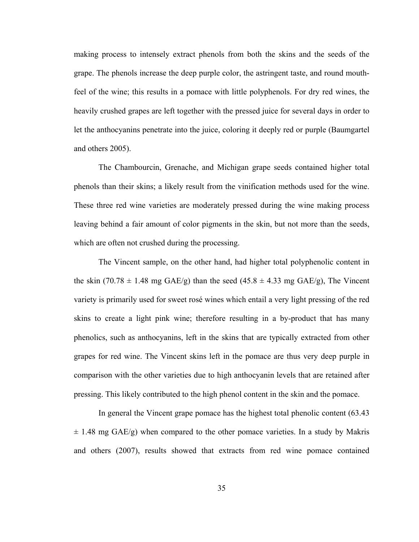making process to intensely extract phenols from both the skins and the seeds of the grape. The phenols increase the deep purple color, the astringent taste, and round mouthfeel of the wine; this results in a pomace with little polyphenols. For dry red wines, the heavily crushed grapes are left together with the pressed juice for several days in order to let the anthocyanins penetrate into the juice, coloring it deeply red or purple (Baumgartel and others 2005).

 The Chambourcin, Grenache, and Michigan grape seeds contained higher total phenols than their skins; a likely result from the vinification methods used for the wine. These three red wine varieties are moderately pressed during the wine making process leaving behind a fair amount of color pigments in the skin, but not more than the seeds, which are often not crushed during the processing.

 The Vincent sample, on the other hand, had higher total polyphenolic content in the skin (70.78  $\pm$  1.48 mg GAE/g) than the seed (45.8  $\pm$  4.33 mg GAE/g), The Vincent variety is primarily used for sweet rosé wines which entail a very light pressing of the red skins to create a light pink wine; therefore resulting in a by-product that has many phenolics, such as anthocyanins, left in the skins that are typically extracted from other grapes for red wine. The Vincent skins left in the pomace are thus very deep purple in comparison with the other varieties due to high anthocyanin levels that are retained after pressing. This likely contributed to the high phenol content in the skin and the pomace.

 In general the Vincent grape pomace has the highest total phenolic content (63.43  $\pm$  1.48 mg GAE/g) when compared to the other pomace varieties. In a study by Makris and others (2007), results showed that extracts from red wine pomace contained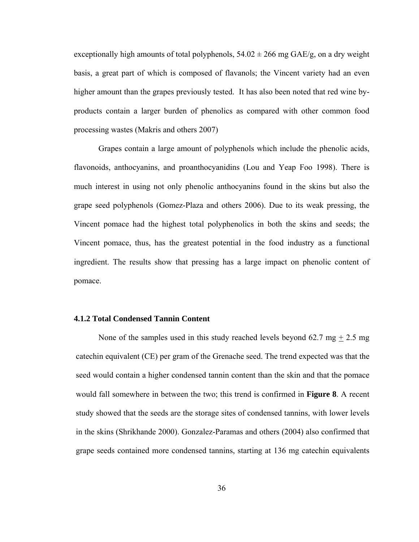exceptionally high amounts of total polyphenols,  $54.02 \pm 266$  mg GAE/g, on a dry weight basis, a great part of which is composed of flavanols; the Vincent variety had an even higher amount than the grapes previously tested. It has also been noted that red wine byproducts contain a larger burden of phenolics as compared with other common food processing wastes (Makris and others 2007)

 Grapes contain a large amount of polyphenols which include the phenolic acids, flavonoids, anthocyanins, and proanthocyanidins (Lou and Yeap Foo 1998). There is much interest in using not only phenolic anthocyanins found in the skins but also the grape seed polyphenols (Gomez-Plaza and others 2006). Due to its weak pressing, the Vincent pomace had the highest total polyphenolics in both the skins and seeds; the Vincent pomace, thus, has the greatest potential in the food industry as a functional ingredient. The results show that pressing has a large impact on phenolic content of pomace.

# **4.1.2 Total Condensed Tannin Content**

None of the samples used in this study reached levels beyond  $62.7 \text{ mg} + 2.5 \text{ mg}$ catechin equivalent (CE) per gram of the Grenache seed. The trend expected was that the seed would contain a higher condensed tannin content than the skin and that the pomace would fall somewhere in between the two; this trend is confirmed in **Figure 8**. A recent study showed that the seeds are the storage sites of condensed tannins, with lower levels in the skins (Shrikhande 2000). Gonzalez-Paramas and others (2004) also confirmed that grape seeds contained more condensed tannins, starting at 136 mg catechin equivalents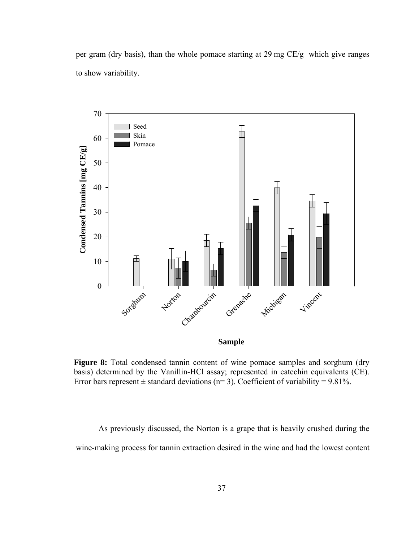per gram (dry basis), than the whole pomace starting at 29 mg CE/g which give ranges to show variability.



**Figure 8:** Total condensed tannin content of wine pomace samples and sorghum (dry basis) determined by the Vanillin-HCl assay; represented in catechin equivalents (CE). Error bars represent  $\pm$  standard deviations (n= 3). Coefficient of variability = 9.81%.

As previously discussed, the Norton is a grape that is heavily crushed during the wine-making process for tannin extraction desired in the wine and had the lowest content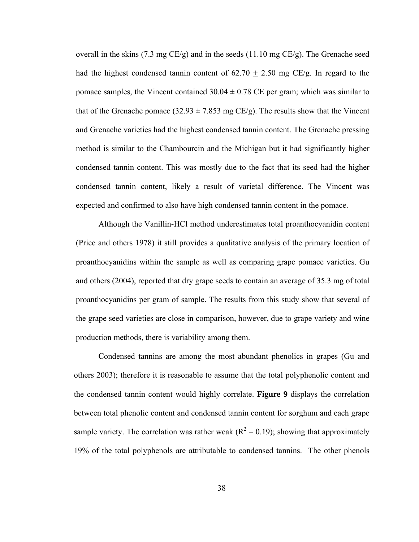overall in the skins (7.3 mg CE/g) and in the seeds (11.10 mg CE/g). The Grenache seed had the highest condensed tannin content of  $62.70 + 2.50$  mg CE/g. In regard to the pomace samples, the Vincent contained  $30.04 \pm 0.78$  CE per gram; which was similar to that of the Grenache pomace (32.93  $\pm$  7.853 mg CE/g). The results show that the Vincent and Grenache varieties had the highest condensed tannin content. The Grenache pressing method is similar to the Chambourcin and the Michigan but it had significantly higher condensed tannin content. This was mostly due to the fact that its seed had the higher condensed tannin content, likely a result of varietal difference. The Vincent was expected and confirmed to also have high condensed tannin content in the pomace.

 Although the Vanillin-HCl method underestimates total proanthocyanidin content (Price and others 1978) it still provides a qualitative analysis of the primary location of proanthocyanidins within the sample as well as comparing grape pomace varieties. Gu and others (2004), reported that dry grape seeds to contain an average of 35.3 mg of total proanthocyanidins per gram of sample. The results from this study show that several of the grape seed varieties are close in comparison, however, due to grape variety and wine production methods, there is variability among them.

 Condensed tannins are among the most abundant phenolics in grapes (Gu and others 2003); therefore it is reasonable to assume that the total polyphenolic content and the condensed tannin content would highly correlate. **Figure 9** displays the correlation between total phenolic content and condensed tannin content for sorghum and each grape sample variety. The correlation was rather weak ( $R^2 = 0.19$ ); showing that approximately 19% of the total polyphenols are attributable to condensed tannins. The other phenols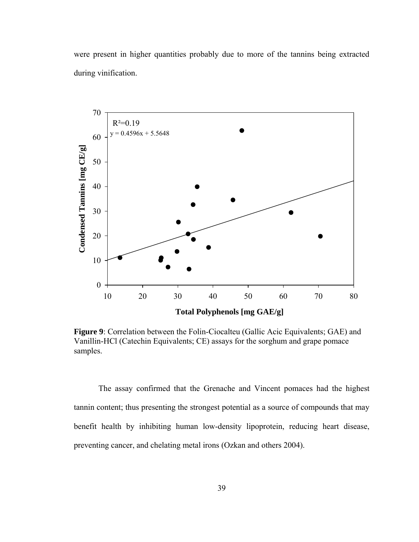were present in higher quantities probably due to more of the tannins being extracted during vinification.



**Figure 9**: Correlation between the Folin-Ciocalteu (Gallic Acic Equivalents; GAE) and Vanillin-HCl (Catechin Equivalents; CE) assays for the sorghum and grape pomace samples.

 The assay confirmed that the Grenache and Vincent pomaces had the highest tannin content; thus presenting the strongest potential as a source of compounds that may benefit health by inhibiting human low-density lipoprotein, reducing heart disease, preventing cancer, and chelating metal irons (Ozkan and others 2004).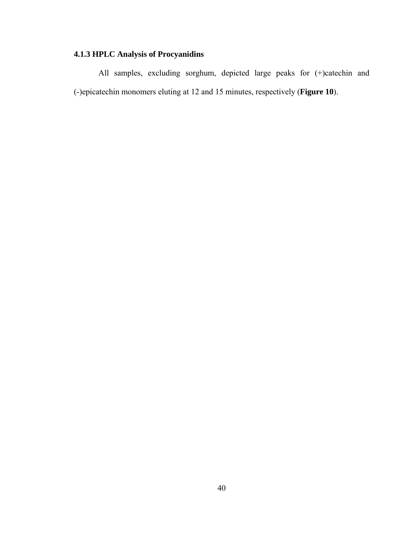# **4.1.3 HPLC Analysis of Procyanidins**

 All samples, excluding sorghum, depicted large peaks for (+)catechin and (-)epicatechin monomers eluting at 12 and 15 minutes, respectively (**Figure 10**).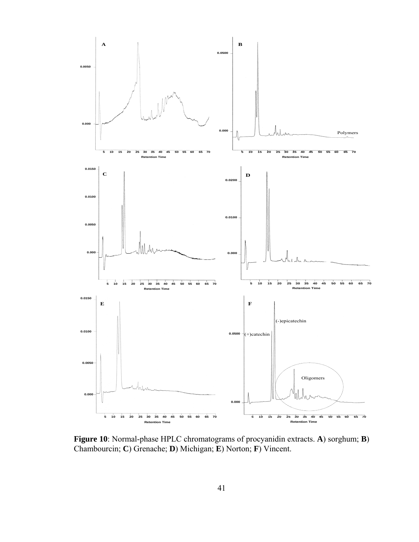

**Figure 10**: Normal-phase HPLC chromatograms of procyanidin extracts. **A**) sorghum; **B**) Chambourcin; **C**) Grenache; **D**) Michigan; **E**) Norton; **F**) Vincent.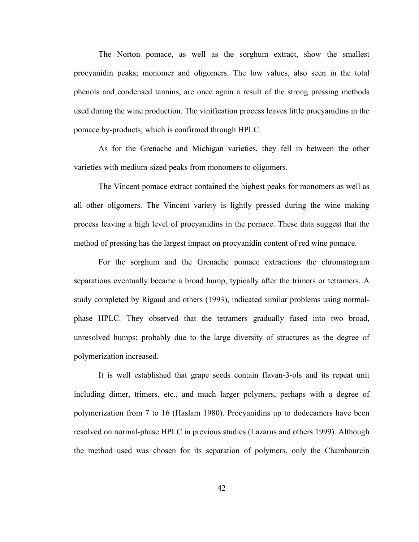The Norton pomace, as well as the sorghum extract, show the smallest procyanidin peaks; monomer and oligomers. The low values, also seen in the total phenols and condensed tannins, are once again a result of the strong pressing methods used during the wine production. The vinification process leaves little procyanidins in the pomace by-products; which is confirmed through HPLC.

 As for the Grenache and Michigan varieties, they fell in between the other varieties with medium-sized peaks from monomers to oligomers.

 The Vincent pomace extract contained the highest peaks for monomers as well as all other oligomers. The Vincent variety is lightly pressed during the wine making process leaving a high level of procyanidins in the pomace. These data suggest that the method of pressing has the largest impact on procyanidin content of red wine pomace.

 For the sorghum and the Grenache pomace extractions the chromatogram separations eventually became a broad hump, typically after the trimers or tetramers. A study completed by Rigaud and others (1993), indicated similar problems using normalphase HPLC. They observed that the tetramers gradually fused into two broad, unresolved humps; probably due to the large diversity of structures as the degree of polymerization increased.

 It is well established that grape seeds contain flavan-3-ols and its repeat unit including dimer, trimers, etc., and much larger polymers, perhaps with a degree of polymerization from 7 to 16 (Haslam 1980). Procyanidins up to dodecamers have been resolved on normal-phase HPLC in previous studies (Lazarus and others 1999). Although the method used was chosen for its separation of polymers, only the Chambourcin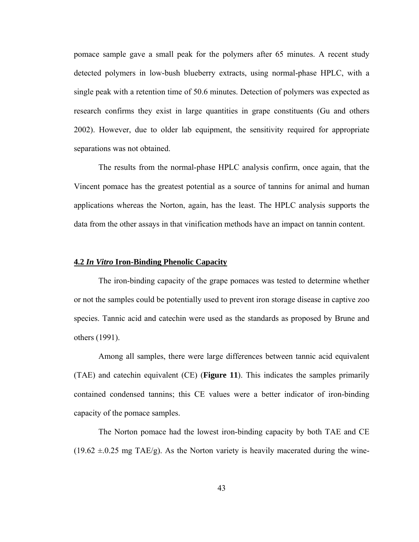pomace sample gave a small peak for the polymers after 65 minutes. A recent study detected polymers in low-bush blueberry extracts, using normal-phase HPLC, with a single peak with a retention time of 50.6 minutes. Detection of polymers was expected as research confirms they exist in large quantities in grape constituents (Gu and others 2002). However, due to older lab equipment, the sensitivity required for appropriate separations was not obtained.

 The results from the normal-phase HPLC analysis confirm, once again, that the Vincent pomace has the greatest potential as a source of tannins for animal and human applications whereas the Norton, again, has the least. The HPLC analysis supports the data from the other assays in that vinification methods have an impact on tannin content.

### **4.2** *In Vitro* **Iron-Binding Phenolic Capacity**

 The iron-binding capacity of the grape pomaces was tested to determine whether or not the samples could be potentially used to prevent iron storage disease in captive zoo species. Tannic acid and catechin were used as the standards as proposed by Brune and others (1991).

 Among all samples, there were large differences between tannic acid equivalent (TAE) and catechin equivalent (CE) (**Figure 11**). This indicates the samples primarily contained condensed tannins; this CE values were a better indicator of iron-binding capacity of the pomace samples.

 The Norton pomace had the lowest iron-binding capacity by both TAE and CE  $(19.62 \pm 0.25 \text{ mg} \text{ TAE/g})$ . As the Norton variety is heavily macerated during the wine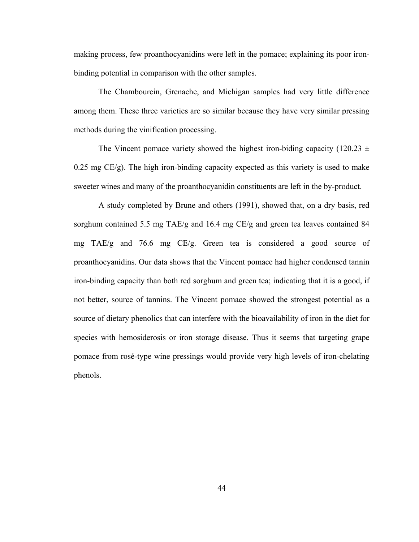making process, few proanthocyanidins were left in the pomace; explaining its poor ironbinding potential in comparison with the other samples.

 The Chambourcin, Grenache, and Michigan samples had very little difference among them. These three varieties are so similar because they have very similar pressing methods during the vinification processing.

The Vincent pomace variety showed the highest iron-biding capacity (120.23  $\pm$  $0.25$  mg CE/g). The high iron-binding capacity expected as this variety is used to make sweeter wines and many of the proanthocyanidin constituents are left in the by-product.

 A study completed by Brune and others (1991), showed that, on a dry basis, red sorghum contained 5.5 mg TAE/g and 16.4 mg CE/g and green tea leaves contained 84 mg TAE/g and 76.6 mg CE/g. Green tea is considered a good source of proanthocyanidins. Our data shows that the Vincent pomace had higher condensed tannin iron-binding capacity than both red sorghum and green tea; indicating that it is a good, if not better, source of tannins. The Vincent pomace showed the strongest potential as a source of dietary phenolics that can interfere with the bioavailability of iron in the diet for species with hemosiderosis or iron storage disease. Thus it seems that targeting grape pomace from rosé-type wine pressings would provide very high levels of iron-chelating phenols.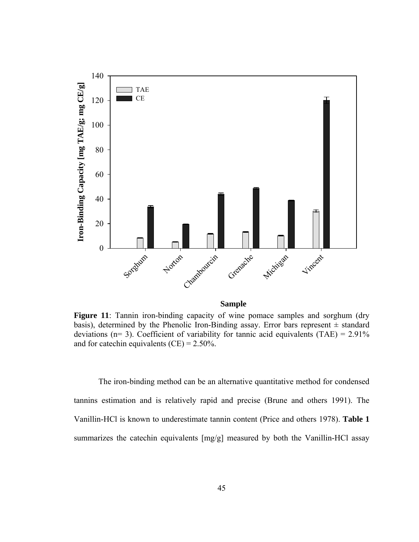

#### **Sample**

**Figure 11**: Tannin iron-binding capacity of wine pomace samples and sorghum (dry basis), determined by the Phenolic Iron-Binding assay. Error bars represent  $\pm$  standard deviations ( $n= 3$ ). Coefficient of variability for tannic acid equivalents (TAE) = 2.91% and for catechin equivalents  $(CE) = 2.50\%$ .

 The iron-binding method can be an alternative quantitative method for condensed tannins estimation and is relatively rapid and precise (Brune and others 1991). The Vanillin-HCl is known to underestimate tannin content (Price and others 1978). **Table 1** summarizes the catechin equivalents [mg/g] measured by both the Vanillin-HCl assay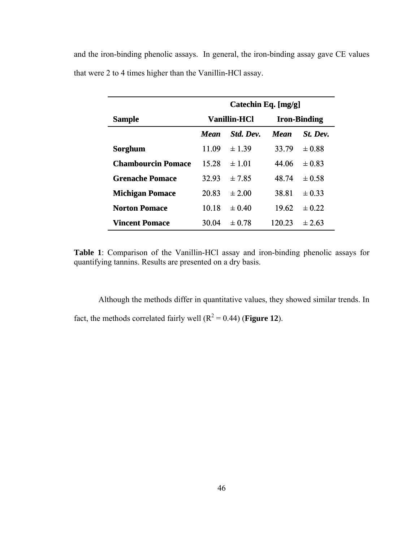and the iron-binding phenolic assays. In general, the iron-binding assay gave CE values that were 2 to 4 times higher than the Vanillin-HCl assay.

|                           | Catechin Eq. [mg/g] |            |                     |            |
|---------------------------|---------------------|------------|---------------------|------------|
| <b>Sample</b>             | <b>Vanillin-HCl</b> |            | <b>Iron-Binding</b> |            |
|                           | Mean                | Std. Dev.  | <b>Mean</b>         | St. Dev.   |
| Sorghum                   | 11.09               | ± 1.39     | 33.79               | $\pm 0.88$ |
| <b>Chambourcin Pomace</b> | 15 28               | $\pm$ 1 01 | 44 06               | $\pm 0.83$ |
| <b>Grenache Pomace</b>    | 32.93               | $\pm$ 7.85 | 48 74               | $\pm 0.58$ |
| <b>Michigan Pomace</b>    | 20.83               | $\pm 2.00$ | 38.81               | $\pm 0.33$ |
| <b>Norton Pomace</b>      | 10.18               | $\pm 0.40$ | 19.62               | $\pm 0.22$ |
| <b>Vincent Pomace</b>     | 30.04               | $\pm 0.78$ | 120 23              | $\pm$ 2.63 |

**Table 1**: Comparison of the Vanillin-HCl assay and iron-binding phenolic assays for quantifying tannins. Results are presented on a dry basis.

 Although the methods differ in quantitative values, they showed similar trends. In fact, the methods correlated fairly well  $(R^2 = 0.44)$  (**Figure 12**).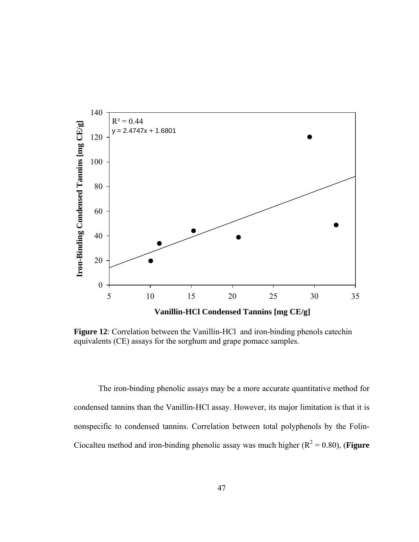

**Figure 12**: Correlation between the Vanillin-HCl and iron-binding phenols catechin equivalents (CE) assays for the sorghum and grape pomace samples.

 The iron-binding phenolic assays may be a more accurate quantitative method for condensed tannins than the Vanillin-HCl assay. However, its major limitation is that it is nonspecific to condensed tannins. Correlation between total polyphenols by the Folin-Ciocalteu method and iron-binding phenolic assay was much higher  $(R^2 = 0.80)$ , (**Figure**)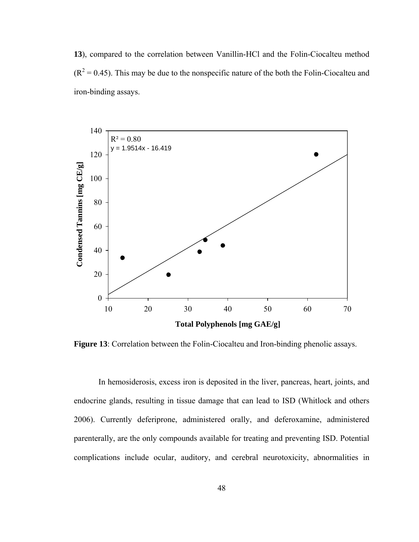**13**), compared to the correlation between Vanillin-HCl and the Folin-Ciocalteu method  $(R<sup>2</sup> = 0.45)$ . This may be due to the nonspecific nature of the both the Folin-Ciocalteu and iron-binding assays.



**Figure 13**: Correlation between the Folin-Ciocalteu and Iron-binding phenolic assays.

 In hemosiderosis, excess iron is deposited in the liver, pancreas, heart, joints, and endocrine glands, resulting in tissue damage that can lead to ISD (Whitlock and others 2006). Currently deferiprone, administered orally, and deferoxamine, administered parenterally, are the only compounds available for treating and preventing ISD. Potential complications include ocular, auditory, and cerebral neurotoxicity, abnormalities in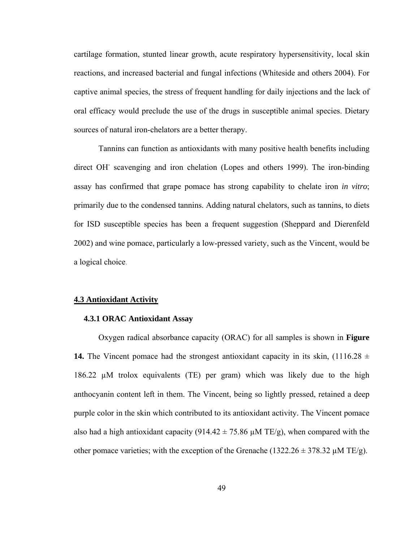cartilage formation, stunted linear growth, acute respiratory hypersensitivity, local skin reactions, and increased bacterial and fungal infections (Whiteside and others 2004). For captive animal species, the stress of frequent handling for daily injections and the lack of oral efficacy would preclude the use of the drugs in susceptible animal species. Dietary sources of natural iron-chelators are a better therapy.

 Tannins can function as antioxidants with many positive health benefits including direct OH<sup>-</sup> scavenging and iron chelation (Lopes and others 1999). The iron-binding assay has confirmed that grape pomace has strong capability to chelate iron *in vitro*; primarily due to the condensed tannins. Adding natural chelators, such as tannins, to diets for ISD susceptible species has been a frequent suggestion (Sheppard and Dierenfeld 2002) and wine pomace, particularly a low-pressed variety, such as the Vincent, would be a logical choice.

#### **4.3 Antioxidant Activity**

### **4.3.1 ORAC Antioxidant Assay**

Oxygen radical absorbance capacity (ORAC) for all samples is shown in **Figure 14.** The Vincent pomace had the strongest antioxidant capacity in its skin,  $(1116.28 \pm$ 186.22  $\mu$ M trolox equivalents (TE) per gram) which was likely due to the high anthocyanin content left in them. The Vincent, being so lightly pressed, retained a deep purple color in the skin which contributed to its antioxidant activity. The Vincent pomace also had a high antioxidant capacity (914.42  $\pm$  75.86  $\mu$ M TE/g), when compared with the other pomace varieties; with the exception of the Grenache (1322.26  $\pm$  378.32  $\mu$ M TE/g).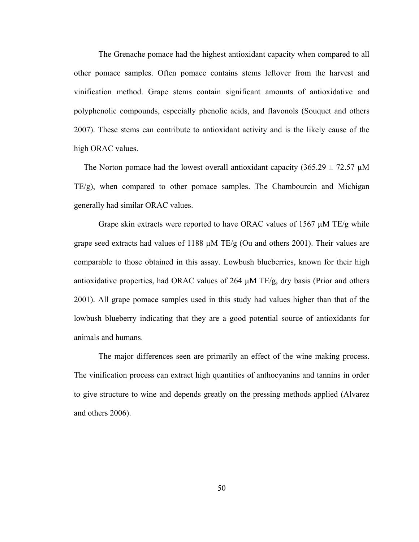The Grenache pomace had the highest antioxidant capacity when compared to all other pomace samples. Often pomace contains stems leftover from the harvest and vinification method. Grape stems contain significant amounts of antioxidative and polyphenolic compounds, especially phenolic acids, and flavonols (Souquet and others 2007). These stems can contribute to antioxidant activity and is the likely cause of the high ORAC values.

The Norton pomace had the lowest overall antioxidant capacity (365.29  $\pm$  72.57  $\mu$ M TE/g), when compared to other pomace samples. The Chambourcin and Michigan generally had similar ORAC values.

Grape skin extracts were reported to have ORAC values of 1567 µM TE/g while grape seed extracts had values of 1188  $\mu$ M TE/g (Ou and others 2001). Their values are comparable to those obtained in this assay. Lowbush blueberries, known for their high antioxidative properties, had ORAC values of 264  $\mu$ M TE/g, dry basis (Prior and others 2001). All grape pomace samples used in this study had values higher than that of the lowbush blueberry indicating that they are a good potential source of antioxidants for animals and humans.

 The major differences seen are primarily an effect of the wine making process. The vinification process can extract high quantities of anthocyanins and tannins in order to give structure to wine and depends greatly on the pressing methods applied (Alvarez and others 2006).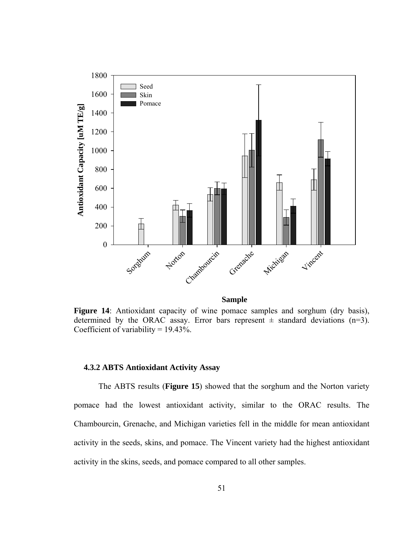

# **Sample**

Figure 14: Antioxidant capacity of wine pomace samples and sorghum (dry basis), determined by the ORAC assay. Error bars represent  $\pm$  standard deviations (n=3). Coefficient of variability =  $19.43\%$ .

# **4.3.2 ABTS Antioxidant Activity Assay**

The ABTS results (**Figure 15**) showed that the sorghum and the Norton variety pomace had the lowest antioxidant activity, similar to the ORAC results. The Chambourcin, Grenache, and Michigan varieties fell in the middle for mean antioxidant activity in the seeds, skins, and pomace. The Vincent variety had the highest antioxidant activity in the skins, seeds, and pomace compared to all other samples.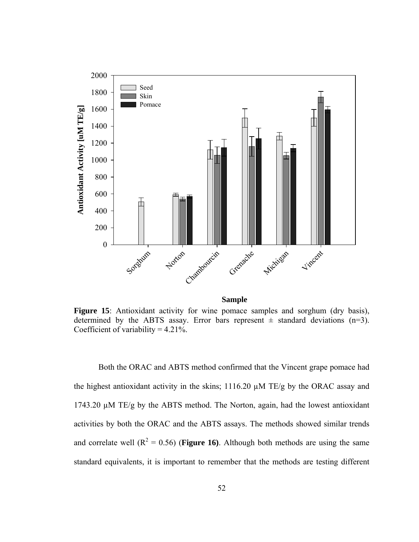

Figure 15: Antioxidant activity for wine pomace samples and sorghum (dry basis), determined by the ABTS assay. Error bars represent  $\pm$  standard deviations (n=3). Coefficient of variability  $= 4.21\%$ .

 Both the ORAC and ABTS method confirmed that the Vincent grape pomace had the highest antioxidant activity in the skins; 1116.20 µM TE/g by the ORAC assay and 1743.20 µM TE/g by the ABTS method. The Norton, again, had the lowest antioxidant activities by both the ORAC and the ABTS assays. The methods showed similar trends and correlate well  $(R^2 = 0.56)$  (**Figure 16**). Although both methods are using the same standard equivalents, it is important to remember that the methods are testing different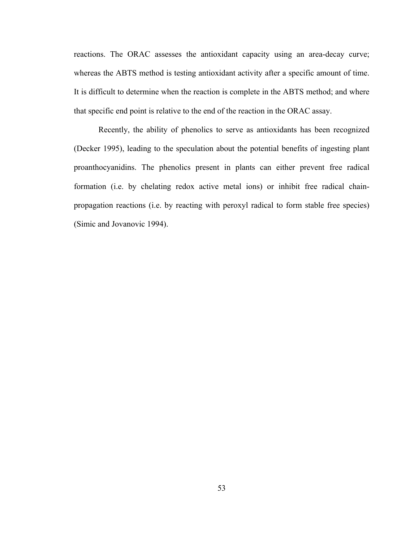reactions. The ORAC assesses the antioxidant capacity using an area-decay curve; whereas the ABTS method is testing antioxidant activity after a specific amount of time. It is difficult to determine when the reaction is complete in the ABTS method; and where that specific end point is relative to the end of the reaction in the ORAC assay.

 Recently, the ability of phenolics to serve as antioxidants has been recognized (Decker 1995), leading to the speculation about the potential benefits of ingesting plant proanthocyanidins. The phenolics present in plants can either prevent free radical formation (i.e. by chelating redox active metal ions) or inhibit free radical chainpropagation reactions (i.e. by reacting with peroxyl radical to form stable free species) (Simic and Jovanovic 1994).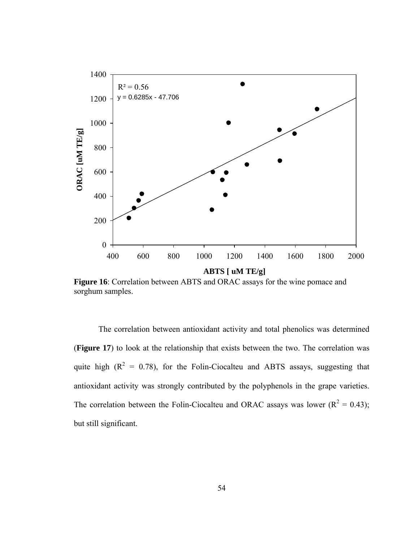

**Figure 16**: Correlation between ABTS and ORAC assays for the wine pomace and sorghum samples.

 The correlation between antioxidant activity and total phenolics was determined (**Figure 17**) to look at the relationship that exists between the two. The correlation was quite high  $(R^2 = 0.78)$ , for the Folin-Ciocalteu and ABTS assays, suggesting that antioxidant activity was strongly contributed by the polyphenols in the grape varieties. The correlation between the Folin-Ciocalteu and ORAC assays was lower ( $R^2 = 0.43$ ); but still significant.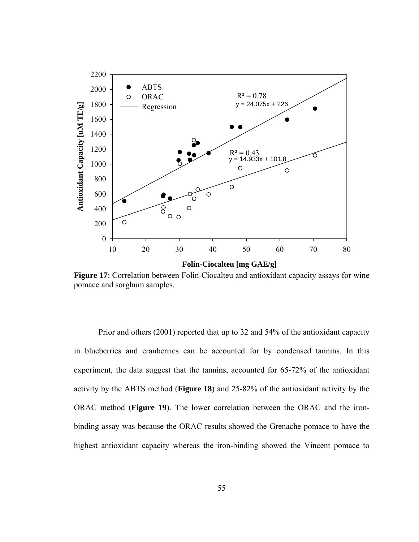

**Figure 17**: Correlation between Folin-Ciocalteu and antioxidant capacity assays for wine pomace and sorghum samples.

 Prior and others (2001) reported that up to 32 and 54% of the antioxidant capacity in blueberries and cranberries can be accounted for by condensed tannins. In this experiment, the data suggest that the tannins, accounted for 65-72% of the antioxidant activity by the ABTS method (**Figure 18**) and 25-82% of the antioxidant activity by the ORAC method (**Figure 19**). The lower correlation between the ORAC and the ironbinding assay was because the ORAC results showed the Grenache pomace to have the highest antioxidant capacity whereas the iron-binding showed the Vincent pomace to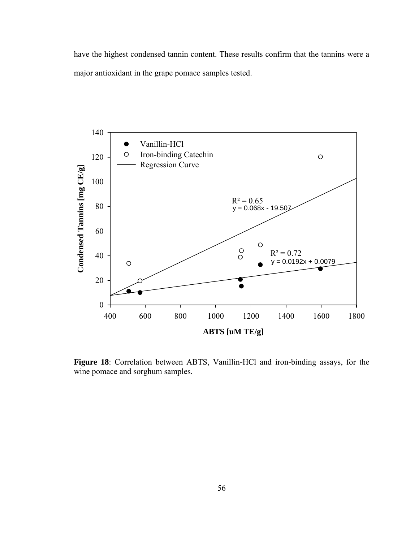have the highest condensed tannin content. These results confirm that the tannins were a major antioxidant in the grape pomace samples tested.



**Figure 18**: Correlation between ABTS, Vanillin-HCl and iron-binding assays, for the wine pomace and sorghum samples.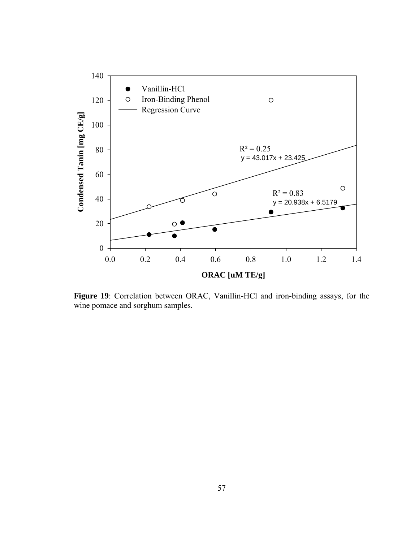

**Figure 19**: Correlation between ORAC, Vanillin-HCl and iron-binding assays, for the wine pomace and sorghum samples.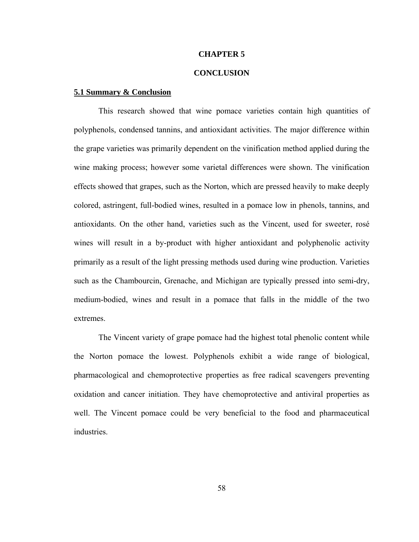### **CHAPTER 5**

# **CONCLUSION**

# **5.1 Summary & Conclusion**

 This research showed that wine pomace varieties contain high quantities of polyphenols, condensed tannins, and antioxidant activities. The major difference within the grape varieties was primarily dependent on the vinification method applied during the wine making process; however some varietal differences were shown. The vinification effects showed that grapes, such as the Norton, which are pressed heavily to make deeply colored, astringent, full-bodied wines, resulted in a pomace low in phenols, tannins, and antioxidants. On the other hand, varieties such as the Vincent, used for sweeter, rosé wines will result in a by-product with higher antioxidant and polyphenolic activity primarily as a result of the light pressing methods used during wine production. Varieties such as the Chambourcin, Grenache, and Michigan are typically pressed into semi-dry, medium-bodied, wines and result in a pomace that falls in the middle of the two extremes.

 The Vincent variety of grape pomace had the highest total phenolic content while the Norton pomace the lowest. Polyphenols exhibit a wide range of biological, pharmacological and chemoprotective properties as free radical scavengers preventing oxidation and cancer initiation. They have chemoprotective and antiviral properties as well. The Vincent pomace could be very beneficial to the food and pharmaceutical industries.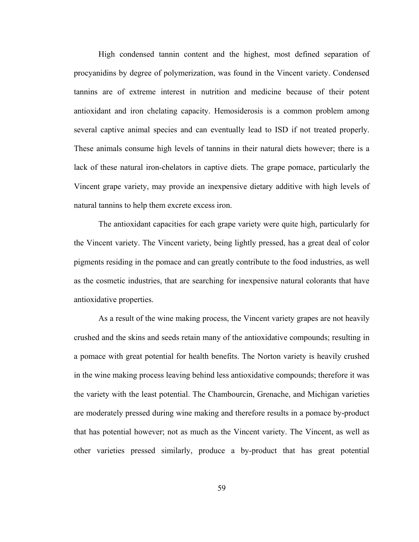High condensed tannin content and the highest, most defined separation of procyanidins by degree of polymerization, was found in the Vincent variety. Condensed tannins are of extreme interest in nutrition and medicine because of their potent antioxidant and iron chelating capacity. Hemosiderosis is a common problem among several captive animal species and can eventually lead to ISD if not treated properly. These animals consume high levels of tannins in their natural diets however; there is a lack of these natural iron-chelators in captive diets. The grape pomace, particularly the Vincent grape variety, may provide an inexpensive dietary additive with high levels of natural tannins to help them excrete excess iron.

 The antioxidant capacities for each grape variety were quite high, particularly for the Vincent variety. The Vincent variety, being lightly pressed, has a great deal of color pigments residing in the pomace and can greatly contribute to the food industries, as well as the cosmetic industries, that are searching for inexpensive natural colorants that have antioxidative properties.

 As a result of the wine making process, the Vincent variety grapes are not heavily crushed and the skins and seeds retain many of the antioxidative compounds; resulting in a pomace with great potential for health benefits. The Norton variety is heavily crushed in the wine making process leaving behind less antioxidative compounds; therefore it was the variety with the least potential. The Chambourcin, Grenache, and Michigan varieties are moderately pressed during wine making and therefore results in a pomace by-product that has potential however; not as much as the Vincent variety. The Vincent, as well as other varieties pressed similarly, produce a by-product that has great potential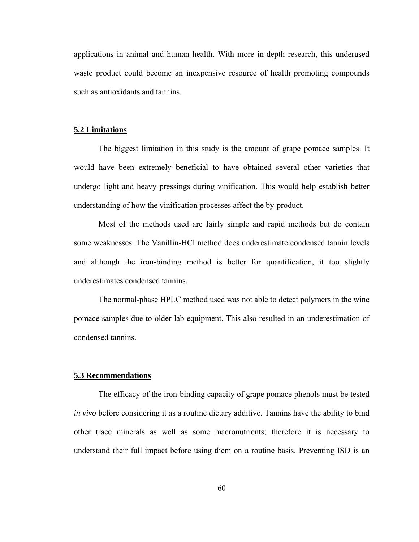applications in animal and human health. With more in-depth research, this underused waste product could become an inexpensive resource of health promoting compounds such as antioxidants and tannins.

### **5.2 Limitations**

 The biggest limitation in this study is the amount of grape pomace samples. It would have been extremely beneficial to have obtained several other varieties that undergo light and heavy pressings during vinification. This would help establish better understanding of how the vinification processes affect the by-product.

 Most of the methods used are fairly simple and rapid methods but do contain some weaknesses. The Vanillin-HCl method does underestimate condensed tannin levels and although the iron-binding method is better for quantification, it too slightly underestimates condensed tannins.

 The normal-phase HPLC method used was not able to detect polymers in the wine pomace samples due to older lab equipment. This also resulted in an underestimation of condensed tannins.

# **5.3 Recommendations**

 The efficacy of the iron-binding capacity of grape pomace phenols must be tested *in vivo* before considering it as a routine dietary additive. Tannins have the ability to bind other trace minerals as well as some macronutrients; therefore it is necessary to understand their full impact before using them on a routine basis. Preventing ISD is an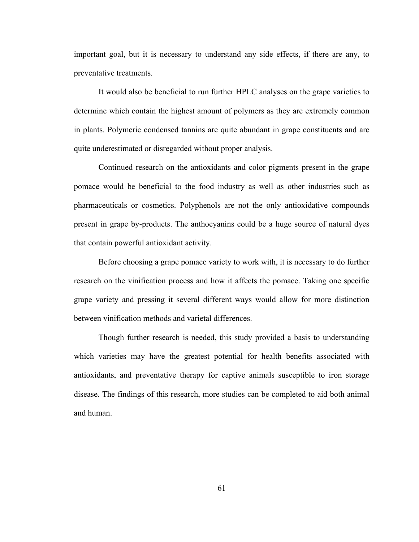important goal, but it is necessary to understand any side effects, if there are any, to preventative treatments.

 It would also be beneficial to run further HPLC analyses on the grape varieties to determine which contain the highest amount of polymers as they are extremely common in plants. Polymeric condensed tannins are quite abundant in grape constituents and are quite underestimated or disregarded without proper analysis.

 Continued research on the antioxidants and color pigments present in the grape pomace would be beneficial to the food industry as well as other industries such as pharmaceuticals or cosmetics. Polyphenols are not the only antioxidative compounds present in grape by-products. The anthocyanins could be a huge source of natural dyes that contain powerful antioxidant activity.

 Before choosing a grape pomace variety to work with, it is necessary to do further research on the vinification process and how it affects the pomace. Taking one specific grape variety and pressing it several different ways would allow for more distinction between vinification methods and varietal differences.

 Though further research is needed, this study provided a basis to understanding which varieties may have the greatest potential for health benefits associated with antioxidants, and preventative therapy for captive animals susceptible to iron storage disease. The findings of this research, more studies can be completed to aid both animal and human.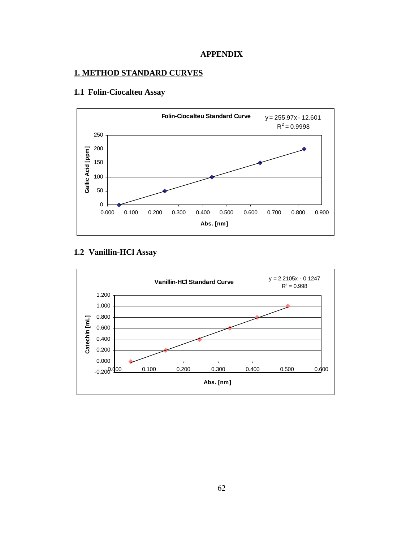

## **1. METHOD STANDARD CURVES**



## **1.1 Folin-Ciocalteu Assay**

## **1.2 Vanillin-HCl Assay**

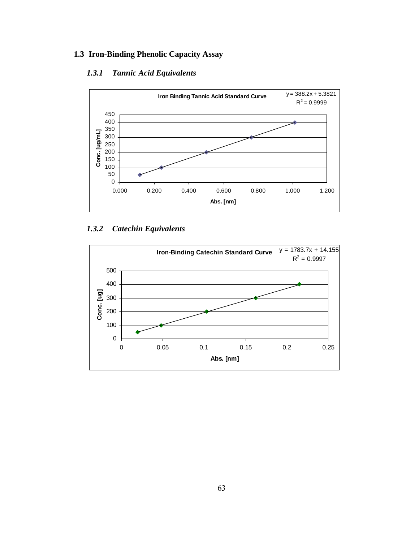## **1.3 Iron-Binding Phenolic Capacity Assay**

## *1.3.1 Tannic Acid Equivalents*



### *1.3.2 Catechin Equivalents*

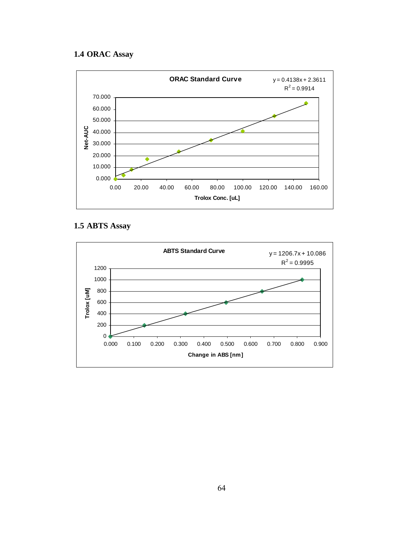## **1.4 ORAC Assay**



## **1.5 ABTS Assay**

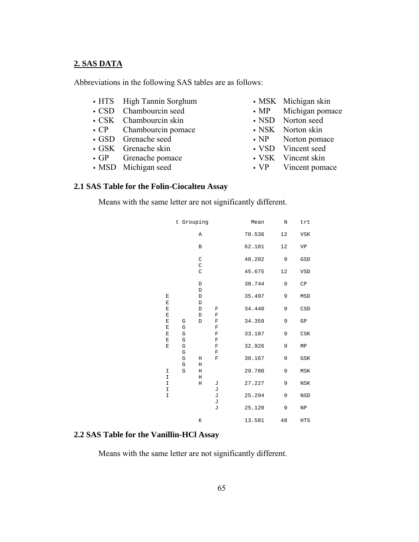#### **2. SAS DATA**

Abbreviations in the following SAS tables are as follows:

- HTS High Tannin Sorghum
- CSD Chambourcin seed
- CSK Chambourcin skin
- CP Chambourcin pomace
- GSD Grenache seed
- GSK Grenache skin
- GP Grenache pomace
- MSD Michigan seed
- MSK Michigan skin
- MP Michigan pomace
- NSD Norton seed
- NSK Norton skin
- NP Norton pomace
- VSD Vincent seed
- VSK Vincent skin
- VP Vincent pomace

#### **2.1 SAS Table for the Folin-Ciocalteu Assay**

Means with the same letter are not significantly different.

|                    | t Grouping                 |                                 |                            | Mean   | $\rm N$ | trt                         |
|--------------------|----------------------------|---------------------------------|----------------------------|--------|---------|-----------------------------|
|                    |                            | Α                               |                            | 70.536 | 12      | <b>VSK</b>                  |
|                    |                            | $\, {\bf B}$                    |                            | 62.181 | $1\,2$  | VP                          |
|                    |                            | $\rm C$                         |                            | 48.202 | 9       | GSD                         |
|                    |                            | $\mathsf C$<br>$\mathsf C$      |                            | 45.675 | 12      | VSD                         |
|                    |                            | $\mathbb D$                     |                            | 38.744 | 9       | $\mathbb{C}\mathbb{P}$      |
| E                  |                            | $\mathbb D$<br>$\mathbb D$      |                            | 35.497 | 9       | MSD                         |
| E<br>$\mathbf E$   |                            | $\mathbb D$<br>$\mathbb D$<br>F |                            | 34.440 | 9       | CSD                         |
| $\mathbf E$<br>E   | G                          | $\mathbb D$<br>$\mathbb D$      | $\mathbb F$<br>$\mathbf F$ | 34.359 | 9       | ${\rm GP}$                  |
| E<br>E             | $\mathbf G$<br>G           |                                 | F<br>$\mathbb F$           | 33.187 | 9       | $\mathop{\rm CSK}\nolimits$ |
| E<br>$\mathbf E$   | $\mathbf G$<br>$\mathbf G$ |                                 | $\mathbf F$<br>$\mathbf F$ | 32.926 | 9       | MP                          |
|                    | G<br>G                     | Η                               | $\mathbf F$<br>F           | 30.167 | 9       | GSK                         |
| I                  | ${\bf G}$<br>${\bf G}$     | Н<br>Н                          |                            | 29.780 | 9       | ${\tt MSK}$                 |
| $\mathbbm{I}$<br>I |                            | Н<br>Η                          | J                          | 27.227 | 9       | $_{\rm NSK}$                |
| I<br>$\mathbbm{I}$ |                            |                                 | J<br>J                     | 25.294 | 9       | NSD                         |
|                    |                            |                                 | J<br>J                     | 25.120 | 9       | ${\tt NP}$                  |
|                    |                            | К                               |                            | 13.581 | 48      | HTS                         |

#### **2.2 SAS Table for the Vanillin-HCl Assay**

Means with the same letter are not significantly different.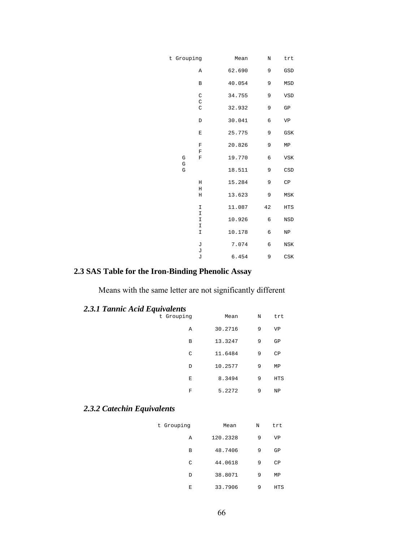| trt                    | $\mathbf N$ | Mean   | t Grouping                          |
|------------------------|-------------|--------|-------------------------------------|
| $_{\tiny\mbox{GSD}}$   | 9           | 62.690 | Α                                   |
| MSD                    | 9           | 40.054 | $\, {\bf B}$                        |
| VSD                    | 9           | 34.755 | $\rm C$                             |
| GP                     | 9           | 32.932 | $\mathsf C$<br>$\mathsf C$          |
| VP                     | 6           | 30.041 | $\mathbb D$                         |
| ${\tt GSK}$            | 9           | 25.775 | E                                   |
| MP                     | 9           | 20.826 | $\mathbf F$                         |
| $_{\rm VSK}$           | 6           | 19.770 | $\mathbf F$<br>G<br>$\mathbf F$     |
| CSD                    | 9           | 18.511 | ${\mathbb G}$<br>$\mathbb{G}% _{n}$ |
| CP                     | 9           | 15.284 | Н                                   |
| ${\tt MSK}$            | 9           | 13.623 | $\rm H$<br>Н                        |
| $_{\rm HTS}$           | 42          | 11.087 | I                                   |
| NSD                    | 6           | 10.926 | $\mathbbm{I}$<br>$\mathbbm{I}$      |
| NP                     | 6           | 10.178 | $\mathbbm{I}$<br>I                  |
| $_{\rm NSK}$           | 6           | 7.074  | J                                   |
| $_{\mbox{\tiny{CSK}}}$ | 9           | 6.454  | J<br>J                              |
|                        |             |        |                                     |

# **2.3 SAS Table for the Iron-Binding Phenolic Assay**

Means with the same letter are not significantly different

| <b>2.3.1 Tannic Acid Equivalents</b> |  |  |
|--------------------------------------|--|--|
|                                      |  |  |

| trt        | N | Mean    | $2.0.1$ Tunnee Hem $Equrrows$<br>t Grouping |
|------------|---|---------|---------------------------------------------|
| VP         | 9 | 30.2716 | Α                                           |
| GP         | 9 | 13.3247 | В                                           |
| CP         | 9 | 11.6484 | C                                           |
| ΜP         | 9 | 10.2577 | D                                           |
| <b>HTS</b> | 9 | 8.3494  | Е                                           |
| NP         | 9 | 5.2272  | F                                           |

# *2.3.2 Catechin Equivalents*

| t Grouping | Mean     | N | trt |
|------------|----------|---|-----|
| Α          | 120.2328 | 9 | VP  |
| В          | 48.7406  | 9 | GP  |
| C          | 44.0618  | 9 | CP  |
| D          | 38.8071  | 9 | ΜP  |
| Е          | 33.7906  | 9 | HTS |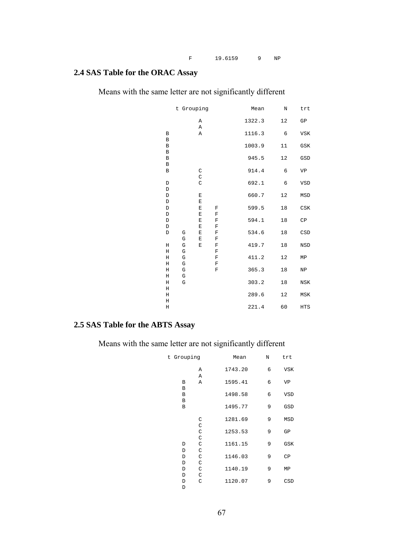## **2.4 SAS Table for the ORAC Assay**

Means with the same letter are not significantly different

|              | t Grouping    |             |             | Mean   | $\rm N$    | trt                    |
|--------------|---------------|-------------|-------------|--------|------------|------------------------|
|              |               | Α           |             | 1322.3 | 12         | ${\rm GP}$             |
|              |               | Α           |             |        |            |                        |
| В            |               | Α           |             | 1116.3 | 6          | <b>VSK</b>             |
| $\, {\bf B}$ |               |             |             |        |            |                        |
| $\, {\bf B}$ |               |             |             | 1003.9 | 11         | GSK                    |
| $\, {\bf B}$ |               |             |             |        |            |                        |
| $\, {\bf B}$ |               |             |             | 945.5  | 12         | GSD                    |
| $\, {\bf B}$ |               |             |             |        |            |                        |
| $\, {\bf B}$ |               | $\rm C$     |             | 914.4  | $\epsilon$ | VP                     |
|              |               | $\rm C$     |             |        |            |                        |
| $\mathbb D$  |               | $\rm C$     |             | 692.1  | $\epsilon$ | VSD                    |
| $\mathbb D$  |               |             |             |        |            |                        |
| $\mathbb D$  |               | E           |             | 660.7  | 12         | MSD                    |
| $\mathbb D$  |               | E           |             |        |            |                        |
| $\mathbb D$  |               | $\mathbf E$ | $\mathbf F$ | 599.5  | 18         | $_{\mbox{\tiny{CSK}}}$ |
| $\mathbb D$  |               | $\mathbf E$ | $\mathbf F$ |        |            |                        |
| $\mathbb D$  |               | E           | $\mathbf F$ | 594.1  | 18         | $\mathsf{CP}$          |
| D            |               | $\mathbf E$ | $\mathbf F$ |        |            |                        |
| $\mathbb D$  | G             | E           | $\mathbf F$ | 534.6  | 18         | CSD                    |
|              | G             | E           | $\mathbf F$ |        |            |                        |
| $\rm H$      | ${\mathbb G}$ | E           | $\mathbf F$ | 419.7  | 18         | <b>NSD</b>             |
| $\rm H$      | ${\mathbb G}$ |             | $\mathbf F$ |        |            |                        |
| $\rm H$      | G             |             | $\mathbf F$ | 411.2  | 12         | ${\tt MP}$             |
| $\rm H$      | G             |             | $\mathbf F$ |        |            |                        |
| $\rm H$      | $\mathbf G$   |             | $\mathbf F$ | 365.3  | 18         | ${\tt NP}$             |
| $\rm H$      | G             |             |             |        |            |                        |
| $\rm H$      | G             |             |             | 303.2  | 18         | $_{\rm NSK}$           |
| $\rm H$      |               |             |             |        |            |                        |
| $\rm H$      |               |             |             | 289.6  | 12         | MSK                    |
| $\rm H$      |               |             |             |        |            |                        |
| $\rm H$      |               |             |             | 221.4  | 60         | HTS                    |
|              |               |             |             |        |            |                        |

## **2.5 SAS Table for the ABTS Assay**

Means with the same letter are not significantly different

| t Grouping       |                               | Mean    | $\rm N$ | trt           |
|------------------|-------------------------------|---------|---------|---------------|
|                  | Α<br>Α                        | 1743.20 | 6       | <b>VSK</b>    |
| B<br>B           | Α                             | 1595.41 | 6       | VP            |
| B<br>B           |                               | 1498.58 | 6       | VSD           |
| $\, {\bf B}$     |                               | 1495.77 | 9       | GSD           |
|                  | $\mathsf C$<br>$\mathsf C$    | 1281.69 | 9       | MSD           |
|                  | $\mathcal{C}$<br>$\mathsf{C}$ | 1253.53 | 9       | GP            |
| D<br>D           | $\mathcal{C}$<br>$\mathsf{C}$ | 1161.15 | 9       | GSK           |
| D<br>D           | $\mathsf C$<br>$\mathsf C$    | 1146.03 | 9       | $\mathsf{CP}$ |
| D<br>D           | $\mathcal{C}$<br>$\mathsf{C}$ | 1140.19 | 9       | ΜP            |
| D<br>$\mathbf D$ | $\mathcal{C}$                 | 1120.07 | 9       | $_{\tt CSD}$  |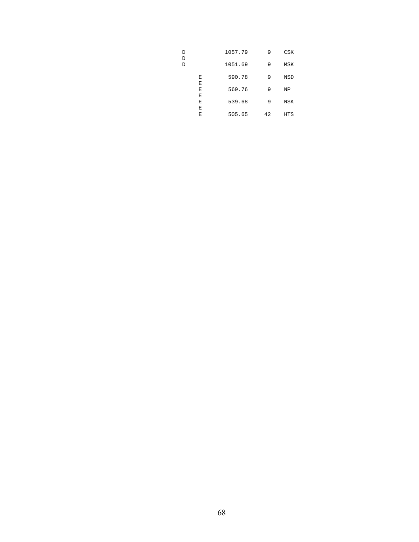| D<br>D |        | 1057.79 | 9  | CSK |
|--------|--------|---------|----|-----|
| D      |        | 1051.69 | 9  | MSK |
|        | Ε<br>Ε | 590.78  | 9  | NSD |
|        | Е<br>Ε | 569.76  | 9  | ΝP  |
|        | Ε<br>Ε | 539.68  | 9  | NSK |
|        | Е      | 505.65  | 42 | HTS |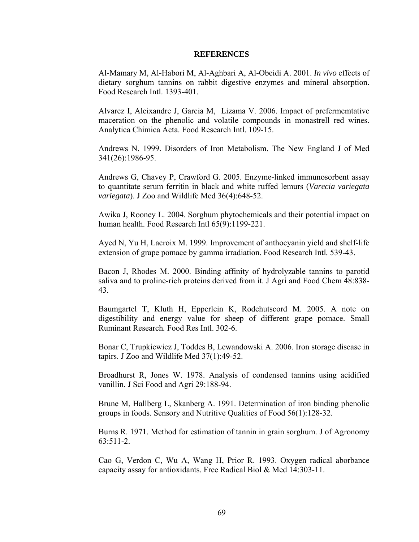#### **REFERENCES**

Al-Mamary M, Al-Habori M, Al-Aghbari A, Al-Obeidi A. 2001. *In vivo* effects of dietary sorghum tannins on rabbit digestive enzymes and mineral absorption. Food Research Intl. 1393-401.

Alvarez I, Aleixandre J, Garcia M, Lizama V. 2006. Impact of prefermemtative maceration on the phenolic and volatile compounds in monastrell red wines. Analytica Chimica Acta. Food Research Intl. 109-15.

Andrews N. 1999. Disorders of Iron Metabolism. The New England J of Med 341(26):1986-95.

Andrews G, Chavey P, Crawford G. 2005. Enzyme-linked immunosorbent assay to quantitate serum ferritin in black and white ruffed lemurs (*Varecia variegata variegata*). J Zoo and Wildlife Med 36(4):648-52.

Awika J, Rooney L. 2004. Sorghum phytochemicals and their potential impact on human health. Food Research Intl 65(9):1199-221.

Ayed N, Yu H, Lacroix M. 1999. Improvement of anthocyanin yield and shelf-life extension of grape pomace by gamma irradiation. Food Research Intl*.* 539-43.

Bacon J, Rhodes M. 2000. Binding affinity of hydrolyzable tannins to parotid saliva and to proline-rich proteins derived from it. J Agri and Food Chem 48:838- 43.

Baumgartel T, Kluth H, Epperlein K, Rodehutscord M. 2005. A note on digestibility and energy value for sheep of different grape pomace. Small Ruminant Research*.* Food Res Intl. 302-6.

Bonar C, Trupkiewicz J, Toddes B, Lewandowski A. 2006. Iron storage disease in tapirs. J Zoo and Wildlife Med 37(1):49-52.

Broadhurst R, Jones W. 1978. Analysis of condensed tannins using acidified vanillin. J Sci Food and Agri 29:188-94.

Brune M, Hallberg L, Skanberg A. 1991. Determination of iron binding phenolic groups in foods. Sensory and Nutritive Qualities of Food 56(1):128-32.

Burns R. 1971. Method for estimation of tannin in grain sorghum. J of Agronomy 63:511-2.

Cao G, Verdon C, Wu A, Wang H, Prior R. 1993. Oxygen radical aborbance capacity assay for antioxidants. Free Radical Biol & Med 14:303-11.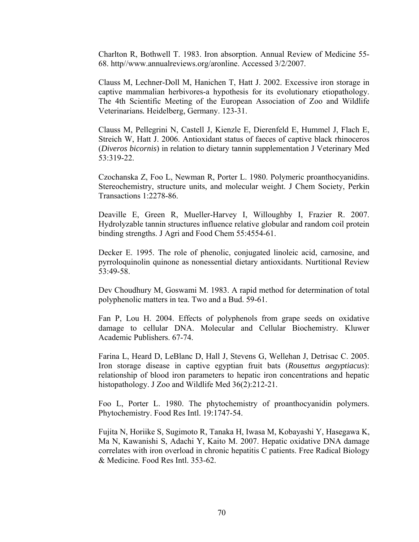Charlton R, Bothwell T. 1983. Iron absorption. Annual Review of Medicine 55- 68. http//www.annualreviews.org/aronline. Accessed 3/2/2007.

Clauss M, Lechner-Doll M, Hanichen T, Hatt J. 2002. Excessive iron storage in captive mammalian herbivores-a hypothesis for its evolutionary etiopathology. The 4th Scientific Meeting of the European Association of Zoo and Wildlife Veterinarians*.* Heidelberg, Germany. 123-31.

Clauss M, Pellegrini N, Castell J, Kienzle E, Dierenfeld E, Hummel J, Flach E, Streich W, Hatt J. 2006. Antioxidant status of faeces of captive black rhinoceros (*Diveros bicornis*) in relation to dietary tannin supplementation J Veterinary Med 53:319-22.

Czochanska Z, Foo L, Newman R, Porter L. 1980. Polymeric proanthocyanidins. Stereochemistry, structure units, and molecular weight. J Chem Society, Perkin Transactions 1:2278-86.

Deaville E, Green R, Mueller-Harvey I, Willoughby I, Frazier R. 2007. Hydrolyzable tannin structures influence relative globular and random coil protein binding strengths. J Agri and Food Chem 55:4554-61.

Decker E. 1995. The role of phenolic, conjugated linoleic acid, carnosine, and pyrroloquinolin quinone as nonessential dietary antioxidants. Nurtitional Review 53:49-58.

Dev Choudhury M, Goswami M. 1983. A rapid method for determination of total polyphenolic matters in tea. Two and a Bud. 59-61.

Fan P, Lou H. 2004. Effects of polyphenols from grape seeds on oxidative damage to cellular DNA. Molecular and Cellular Biochemistry*.* Kluwer Academic Publishers. 67-74.

Farina L, Heard D, LeBlanc D, Hall J, Stevens G, Wellehan J, Detrisac C. 2005. Iron storage disease in captive egyptian fruit bats (*Rousettus aegyptiacus*): relationship of blood iron parameters to hepatic iron concentrations and hepatic histopathology. J Zoo and Wildlife Med 36(2):212-21.

Foo L, Porter L. 1980. The phytochemistry of proanthocyanidin polymers. Phytochemistry. Food Res Intl. 19:1747-54.

Fujita N, Horiike S, Sugimoto R, Tanaka H, Iwasa M, Kobayashi Y, Hasegawa K, Ma N, Kawanishi S, Adachi Y, Kaito M. 2007. Hepatic oxidative DNA damage correlates with iron overload in chronic hepatitis C patients. Free Radical Biology & Medicine*.* Food Res Intl. 353-62.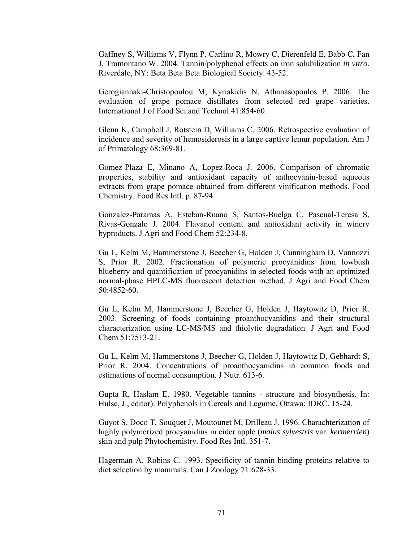Gaffney S, Williams V, Flynn P, Carlino R, Mowry C, Dierenfeld E, Babb C, Fan J, Tramontano W. 2004. Tannin/polyphenol effects on iron solubilization *in vitro*. Riverdale, NY: Beta Beta Beta Biological Society. 43-52.

Gerogiannaki-Christopoulou M, Kyriakidis N, Athanasopoulos P. 2006. The evaluation of grape pomace distillates from selected red grape varieties. International J of Food Sci and Technol 41:854-60.

Glenn K, Campbell J, Rotstein D, Williams C. 2006. Retrospective evaluation of incidence and severity of hemosiderosis in a large captive lemur population. Am J of Primatology 68:369-81.

Gomez-Plaza E, Minano A, Lopez-Roca J. 2006. Comparison of chromatic properties, stability and antioxidant capacity of anthocyanin-based aqueous extracts from grape pomace obtained from different vinification methods. Food Chemistry. Food Res Intl. p. 87-94.

Gonzalez-Paramas A, Esteban-Ruano S, Santos-Buelga C, Pascual-Teresa S, Rivas-Gonzalo J. 2004. Flavanol content and antioxidant activity in winery byproducts. J Agri and Food Chem 52:234-8.

Gu L, Kelm M, Hammerstone J, Beecher G, Holden J, Cunningham D, Vannozzi S, Prior R. 2002. Fractionation of polymeric procyanidins from lowbush blueberry and quantification of procyanidins in selected foods with an optimized normal-phase HPLC-MS fluorescent detection method. J Agri and Food Chem 50:4852-60.

Gu L, Kelm M, Hammerstone J, Beecher G, Holden J, Haytowitz D, Prior R. 2003. Screening of foods containing proanthocyanidins and their structural characterization using LC-MS/MS and thiolytic degradation. J Agri and Food Chem 51:7513-21.

Gu L, Kelm M, Hammerstone J, Beecher G, Holden J, Haytowitz D, Gebhardt S, Prior R. 2004. Concentrations of proanthocyanidins in common foods and estimations of normal consumption. J Nutr. 613-6.

Gupta R, Haslam E. 1980. Vegetable tannins - structure and biosynthesis. In: Hulse, J., editor). Polyphenols in Cereals and Legume*.* Ottawa: IDRC. 15-24.

Guyot S, Doco T, Souquet J, Moutounet M, Drilleau J. 1996. Charachterization of highly polymerized procyanidins in cider apple (*malus sylvestris* var. *kermerrien*) skin and pulp Phytochemistry*.* Food Res Intl. 351-7.

Hagerman A, Robins C. 1993. Specificity of tannin-binding proteins relative to diet selection by mammals. Can J Zoology 71:628-33.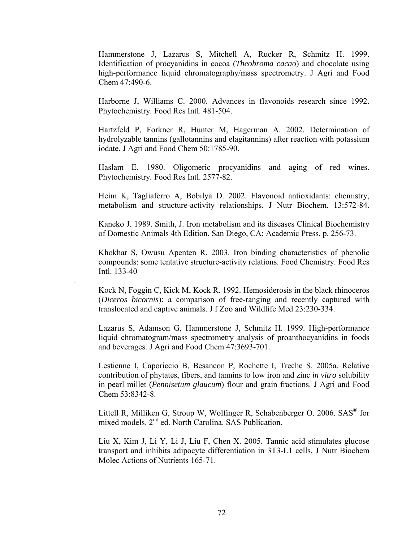Hammerstone J, Lazarus S, Mitchell A, Rucker R, Schmitz H. 1999. Identification of procyanidins in cocoa (*Theobroma cacao*) and chocolate using high-performance liquid chromatography/mass spectrometry. J Agri and Food Chem 47:490-6.

Harborne J, Williams C. 2000. Advances in flavonoids research since 1992. Phytochemistry*.* Food Res Intl. 481-504.

Hartzfeld P, Forkner R, Hunter M, Hagerman A. 2002. Determination of hydrolyzable tannins (gallotannins and elagitannins) after reaction with potassium iodate. J Agri and Food Chem 50:1785-90.

Haslam E. 1980. Oligomeric procyanidins and aging of red wines. Phytochemistry*.* Food Res Intl. 2577-82.

Heim K, Tagliaferro A, Bobilya D. 2002. Flavonoid antioxidants: chemistry, metabolism and structure-activity relationships. J Nutr Biochem. 13:572-84.

Kaneko J. 1989. Smith, J. Iron metabolism and its diseases Clinical Biochemistry of Domestic Animals 4th Edition*.* San Diego, CA: Academic Press. p. 256-73.

Khokhar S, Owusu Apenten R. 2003. Iron binding characteristics of phenolic compounds: some tentative structure-activity relations. Food Chemistry*.* Food Res Intl. 133-40

.

Kock N, Foggin C, Kick M, Kock R. 1992. Hemosiderosis in the black rhinoceros (*Diceros bicornis*): a comparison of free-ranging and recently captured with translocated and captive animals. J f Zoo and Wildlife Med 23:230-334.

Lazarus S, Adamson G, Hammerstone J, Schmitz H. 1999. High-performance liquid chromatogram/mass spectrometry analysis of proanthocyanidins in foods and beverages. J Agri and Food Chem 47:3693-701.

Lestienne I, Caporiccio B, Besancon P, Rochette I, Treche S. 2005a. Relative contribution of phytates, fibers, and tannins to low iron and zinc *in vitro* solubility in pearl millet (*Pennisetum glaucum*) flour and grain fractions. J Agri and Food Chem 53:8342-8.

Littell R, Milliken G, Stroup W, Wolfinger R, Schabenberger O. 2006. SAS® for mixed models. 2<sup>nd</sup> ed. North Carolina. SAS Publication.

Liu X, Kim J, Li Y, Li J, Liu F, Chen X. 2005. Tannic acid stimulates glucose transport and inhibits adipocyte differentiation in 3T3-L1 cells. J Nutr Biochem Molec Actions of Nutrients 165-71.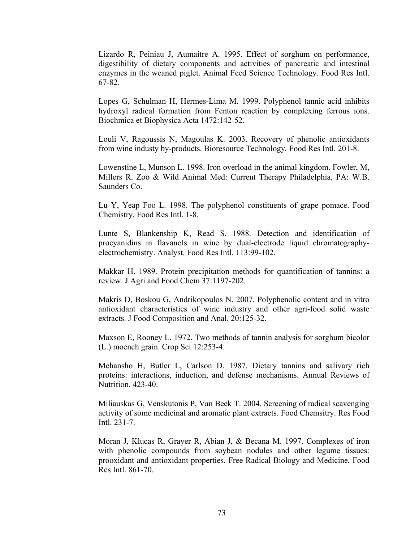Lizardo R, Peiniau J, Aumaitre A. 1995. Effect of sorghum on performance, digestibility of dietary components and activities of pancreatic and intestinal enzymes in the weaned piglet. Animal Feed Science Technology*.* Food Res Intl. 67-82.

Lopes G, Schulman H, Hermes-Lima M. 1999. Polyphenol tannic acid inhibits hydroxyl radical formation from Fenton reaction by complexing ferrous ions. Biochmica et Biophysica Acta 1472:142-52.

Louli V, Ragoussis N, Magoulas K. 2003. Recovery of phenolic antioxidants from wine industy by-products. Bioresource Technology*.* Food Res Intl. 201-8.

Lowenstine L, Munson L. 1998. Iron overload in the animal kingdom. Fowler, M, Millers R. Zoo & Wild Animal Med: Current Therapy Philadelphia, PA: W.B. Saunders Co.

Lu Y, Yeap Foo L. 1998. The polyphenol constituents of grape pomace. Food Chemistry*.* Food Res Intl. 1-8.

Lunte S, Blankenship K, Read S. 1988. Detection and identification of procyanidins in flavanols in wine by dual-electrode liquid chromatographyelectrochemistry. Analyst. Food Res Intl. 113:99-102.

Makkar H. 1989. Protein precipitation methods for quantification of tannins: a review. J Agri and Food Chem 37:1197-202.

Makris D, Boskou G, Andrikopoulos N. 2007. Polyphenolic content and in vitro antioxidant characteristics of wine industry and other agri-food solid waste extracts. J Food Composition and Anal. 20:125-32.

Maxson E, Rooney L. 1972. Two methods of tannin analysis for sorghum bicolor (L.) moench grain. Crop Sci 12:253-4.

Mehansho H, Butler L, Carlson D. 1987. Dietary tannins and salivary rich proteins: interactions, induction, and defense mechanisms. Annual Reviews of Nutrition*.* 423-40.

Miliauskas G, Venskutonis P, Van Beek T. 2004. Screening of radical scavenging activity of some medicinal and aromatic plant extracts. Food Chemsitry. Res Food Intl. 231-7.

Moran J, Klucas R, Grayer R, Abian J, & Becana M. 1997. Complexes of iron with phenolic compounds from soybean nodules and other legume tissues: prooxidant and antioxidant properties. Free Radical Biology and Medicine*.* Food Res Intl. 861-70.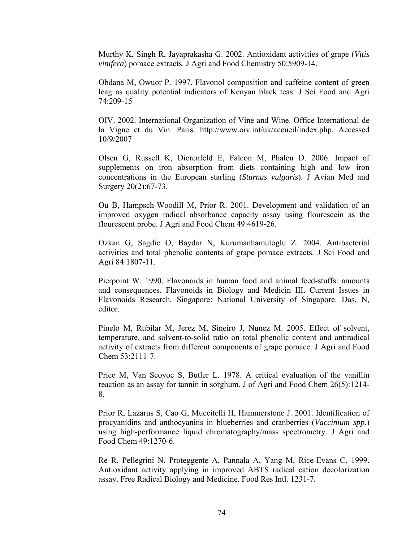Murthy K, Singh R, Jayaprakasha G. 2002. Antioxidant activities of grape (*Vitis vinifera*) pomace extracts. J Agri and Food Chemistry 50:5909-14.

Obdana M, Owuor P. 1997. Flavonol composition and caffeine content of green leag as quality potential indicators of Kenyan black teas. J Sci Food and Agri 74:209-15

OIV. 2002. International Organization of Vine and Wine. Office International de la Vigne et du Vin. Paris. http://www.oiv.int/uk/accueil/index.php. Accessed 10/9/2007

Olsen G, Russell K, Dierenfeld E, Falcon M, Phalen D. 2006. Impact of supplements on iron absorption from diets containing high and low iron concentrations in the European starling (*Sturnus vulgaris*). J Avian Med and Surgery 20(2):67-73.

Ou B, Hampsch-Woodill M, Prior R. 2001. Development and validation of an improved oxygen radical absorbance capacity assay using flourescein as the flourescent probe. J Agri and Food Chem 49:4619-26.

Ozkan G, Sagdic O, Baydar N, Kurumanhamutoglu Z. 2004. Antibacterial activities and total phenolic contents of grape pomace extracts. J Sci Food and Agri 84:1807-11.

Pierpoint W. 1990. Flavonoids in human food and animal feed-stuffs: amounts and consequences. Flavonoids in Biology and Medicin III. Current Issues in Flavonoids Research*.* Singapore: National University of Singapore. Das, N, editor.

Pinelo M, Rubilar M, Jerez M, Sineiro J, Nunez M. 2005. Effect of solvent, temperature, and solvent-to-solid ratio on total phenolic content and antiradical activity of extracts from different components of grape pomace. J Agri and Food Chem 53:2111-7.

Price M, Van Scoyoc S, Butler L. 1978. A critical evaluation of the vanillin reaction as an assay for tannin in sorghum. J of Agri and Food Chem 26(5):1214- 8.

Prior R, Lazarus S, Cao G, Muccitelli H, Hammerstone J. 2001. Identification of procyanidins and anthocyanins in blueberries and cranberries (*Vaccinium spp.*) using high-performance liquid chromatography/mass spectrometry. J Agri and Food Chem 49:1270-6.

Re R, Pellegrini N, Proteggente A, Pannala A, Yang M, Rice-Evans C. 1999. Antioxidant activity applying in improved ABTS radical cation decolorization assay. Free Radical Biology and Medicine*.* Food Res Intl. 1231-7.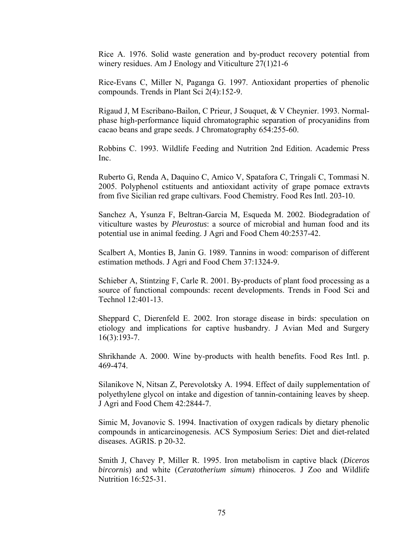Rice A. 1976. Solid waste generation and by-product recovery potential from winery residues. Am J Enology and Viticulture 27(1)21-6

Rice-Evans C, Miller N, Paganga G. 1997. Antioxidant properties of phenolic compounds. Trends in Plant Sci 2(4):152-9.

Rigaud J, M Escribano-Bailon, C Prieur, J Souquet, & V Cheynier. 1993. Normalphase high-performance liquid chromatographic separation of procyanidins from cacao beans and grape seeds. J Chromatography 654:255-60.

Robbins C. 1993. Wildlife Feeding and Nutrition 2nd Edition. Academic Press Inc.

Ruberto G, Renda A, Daquino C, Amico V, Spatafora C, Tringali C, Tommasi N. 2005. Polyphenol cstituents and antioxidant activity of grape pomace extravts from five Sicilian red grape cultivars. Food Chemistry*.* Food Res Intl. 203-10.

Sanchez A, Ysunza F, Beltran-Garcia M, Esqueda M. 2002. Biodegradation of viticulture wastes by *Pleurostus*: a source of microbial and human food and its potential use in animal feeding. J Agri and Food Chem 40:2537-42.

Scalbert A, Monties B, Janin G. 1989. Tannins in wood: comparison of different estimation methods. J Agri and Food Chem 37:1324-9.

Schieber A, Stintzing F, Carle R. 2001. By-products of plant food processing as a source of functional compounds: recent developments. Trends in Food Sci and Technol 12:401-13.

Sheppard C, Dierenfeld E. 2002. Iron storage disease in birds: speculation on etiology and implications for captive husbandry. J Avian Med and Surgery 16(3):193-7.

Shrikhande A. 2000. Wine by-products with health benefits. Food Res Intl. p. 469-474.

Silanikove N, Nitsan Z, Perevolotsky A. 1994. Effect of daily supplementation of polyethylene glycol on intake and digestion of tannin-containing leaves by sheep. J Agri and Food Chem 42:2844-7.

Simic M, Jovanovic S. 1994. Inactivation of oxygen radicals by dietary phenolic compounds in anticarcinogenesis. ACS Symposium Series: Diet and diet-related diseases*.* AGRIS. p 20-32.

Smith J, Chavey P, Miller R. 1995. Iron metabolism in captive black (*Diceros bircornis*) and white (*Ceratotherium simum*) rhinoceros. J Zoo and Wildlife Nutrition 16:525-31.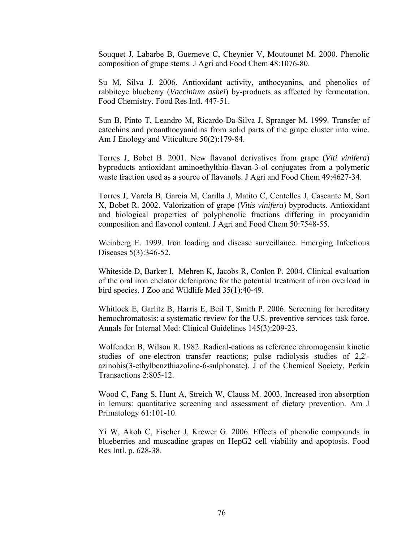Souquet J, Labarbe B, Guerneve C, Cheynier V, Moutounet M. 2000. Phenolic composition of grape stems. J Agri and Food Chem 48:1076-80.

Su M, Silva J. 2006. Antioxidant activity, anthocyanins, and phenolics of rabbiteye blueberry (*Vaccinium ashei*) by-products as affected by fermentation. Food Chemistry*.* Food Res Intl. 447-51.

Sun B, Pinto T, Leandro M, Ricardo-Da-Silva J, Spranger M. 1999. Transfer of catechins and proanthocyanidins from solid parts of the grape cluster into wine. Am J Enology and Viticulture 50(2):179-84.

Torres J, Bobet B. 2001. New flavanol derivatives from grape (*Viti vinifera*) byproducts antioxidant aminoethylthio-flavan-3-ol conjugates from a polymeric waste fraction used as a source of flavanols. J Agri and Food Chem 49:4627-34.

Torres J, Varela B, Garcia M, Carilla J, Matito C, Centelles J, Cascante M, Sort X, Bobet R. 2002. Valorization of grape (*Vitis vinifera*) byproducts. Antioxidant and biological properties of polyphenolic fractions differing in procyanidin composition and flavonol content. J Agri and Food Chem 50:7548-55.

Weinberg E. 1999. Iron loading and disease surveillance. Emerging Infectious Diseases 5(3):346-52.

Whiteside D, Barker I, Mehren K, Jacobs R, Conlon P. 2004. Clinical evaluation of the oral iron chelator deferiprone for the potential treatment of iron overload in bird species. J Zoo and Wildlife Med 35(1):40-49.

Whitlock E, Garlitz B, Harris E, Beil T, Smith P. 2006. Screening for hereditary hemochromatosis: a systematic review for the U.S. preventive services task force. Annals for Internal Med: Clinical Guidelines 145(3):209-23.

Wolfenden B, Wilson R. 1982. Radical-cations as reference chromogensin kinetic studies of one-electron transfer reactions; pulse radiolysis studies of 2,2' azinobis(3-ethylbenzthiazoline-6-sulphonate). J of the Chemical Society, Perkin Transactions 2:805-12.

Wood C, Fang S, Hunt A, Streich W, Clauss M. 2003. Increased iron absorption in lemurs: quantitative screening and assessment of dietary prevention. Am J Primatology 61:101-10.

Yi W, Akoh C, Fischer J, Krewer G. 2006. Effects of phenolic compounds in blueberries and muscadine grapes on HepG2 cell viability and apoptosis. Food Res Intl. p. 628-38.